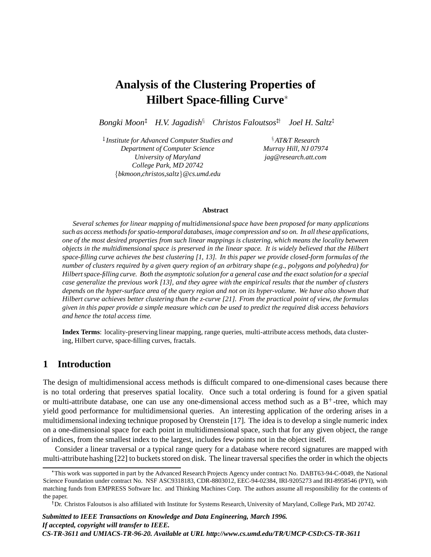# **Analysis of the Clustering Properties of Hilbert Space-filling Curve**

 $B$ ongki Moon<sup>t</sup> H.V. Jagadish<sup>§</sup> Christos Faloutsos<sup>t†</sup> Joel H. Saltz<sup>t</sup>

<sup>‡</sup> Institute for Advanced Computer Studies and x  $\frac{8}{3}$ *Department of Computer Science Murray Hill, NJ 07974 University of Maryland jag@research.att.com College Park, MD 20742* <sup>f</sup>*bkmoon,christos,saltz*g*@cs.umd.edu*

*AT&T Research*

#### **Abstract**

*Several schemes for linear mapping of multidimensional space have been proposed for many applications such as access methods for spatio-temporal databases, image compression and so on. In all these applications, one of the most desired properties from such linear mappings is clustering, which means the locality between objects in the multidimensional space is preserved in the linear space. It is widely believed that the Hilbert space-filling curve achieves the best clustering [1, 13]. In this paper we provide closed-form formulas of the number of clusters required by a given query region of an arbitrary shape (e.g., polygons and polyhedra) for Hilbert space-filling curve. Both the asymptotic solution for a general case and the exact solution for a special case generalize the previous work [13], and they agree with the empirical results that the number of clusters depends on the hyper-surface area of the query region and not on its hyper-volume. We have also shown that Hilbert curve achieves better clustering than the z-curve [21]. From the practical point of view, the formulas given in this paper provide a simple measure which can be used to predict the required disk access behaviors and hence the total access time.*

**Index Terms**: locality-preserving linear mapping, range queries, multi-attribute access methods, data clustering, Hilbert curve, space-filling curves, fractals.

## **1 Introduction**

The design of multidimensional access methods is difficult compared to one-dimensional cases because there is no total ordering that preserves spatial locality. Once such a total ordering is found for a given spatial or multi-attribute database, one can use any one-dimensional access method such as a  $B^+$ -tree, which may yield good performance for multidimensional queries. An interesting application of the ordering arises in a multidimensional indexing technique proposed by Orenstein [17]. The idea is to develop a single numeric index on a one-dimensional space for each point in multidimensional space, such that for any given object, the range of indices, from the smallest index to the largest, includes few points not in the object itself.

Consider a linear traversal or a typical range query for a database where record signatures are mapped with multi-attribute hashing [22] to buckets stored on disk. The linear traversal specifies the order in which the objects

This work was supported in part by the Advanced Research Projects Agency under contract No. DABT63-94-C-0049, the National Science Foundation under contract No. NSF ASC9318183, CDR-8803012, EEC-94-02384, IRI-9205273 and IRI-8958546 (PYI), with matching funds from EMPRESS Software Inc. and Thinking Machines Corp. The authors assume all responsibility for the contents of the paper.

<sup>&</sup>lt;sup>†</sup>Dr. Christos Faloutsos is also affiliated with Institute for Systems Research, University of Maryland, College Park, MD 20742.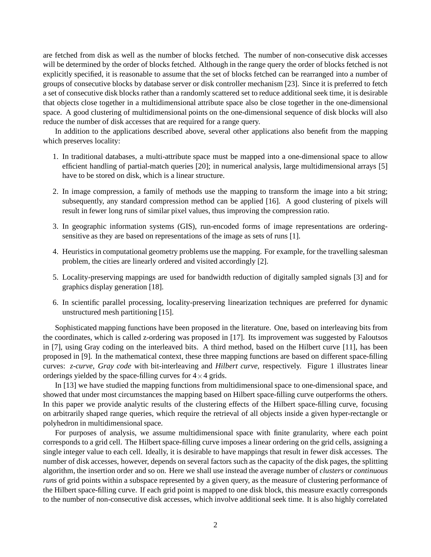are fetched from disk as well as the number of blocks fetched. The number of non-consecutive disk accesses will be determined by the order of blocks fetched. Although in the range query the order of blocks fetched is not explicitly specified, it is reasonable to assume that the set of blocks fetched can be rearranged into a number of groups of consecutive blocks by database server or disk controller mechanism [23]. Since it is preferred to fetch a set of consecutive disk blocks rather than a randomly scattered set to reduce additional seek time, it is desirable that objects close together in a multidimensional attribute space also be close together in the one-dimensional space. A good clustering of multidimensional points on the one-dimensional sequence of disk blocks will also reduce the number of disk accesses that are required for a range query.

In addition to the applications described above, several other applications also benefit from the mapping which preserves locality:

- 1. In traditional databases, a multi-attribute space must be mapped into a one-dimensional space to allow efficient handling of partial-match queries [20]; in numerical analysis, large multidimensional arrays [5] have to be stored on disk, which is a linear structure.
- 2. In image compression, a family of methods use the mapping to transform the image into a bit string; subsequently, any standard compression method can be applied [16]. A good clustering of pixels will result in fewer long runs of similar pixel values, thus improving the compression ratio.
- 3. In geographic information systems (GIS), run-encoded forms of image representations are orderingsensitive as they are based on representations of the image as sets of runs [1].
- 4. Heuristics in computational geometry problems use the mapping. For example, for the travelling salesman problem, the cities are linearly ordered and visited accordingly [2].
- 5. Locality-preserving mappings are used for bandwidth reduction of digitally sampled signals [3] and for graphics display generation [18].
- 6. In scientific parallel processing, locality-preserving linearization techniques are preferred for dynamic unstructured mesh partitioning [15].

Sophisticated mapping functions have been proposed in the literature. One, based on interleaving bits from the coordinates, which is called z-ordering was proposed in [17]. Its improvement was suggested by Faloutsos in [7], using Gray coding on the interleaved bits. A third method, based on the Hilbert curve [11], has been proposed in [9]. In the mathematical context, these three mapping functions are based on different space-filling curves: *z-curve*, *Gray code* with bit-interleaving and *Hilbert curve*, respectively. Figure 1 illustrates linear orderings yielded by the space-filling curves for  $4 \times 4$  grids.

In [13] we have studied the mapping functions from multidimensional space to one-dimensional space, and showed that under most circumstances the mapping based on Hilbert space-filling curve outperforms the others. In this paper we provide analytic results of the clustering effects of the Hilbert space-filling curve, focusing on arbitrarily shaped range queries, which require the retrieval of all objects inside a given hyper-rectangle or polyhedron in multidimensional space.

For purposes of analysis, we assume multidimensional space with finite granularity, where each point corresponds to a grid cell. The Hilbert space-filling curve imposes a linear ordering on the grid cells, assigning a single integer value to each cell. Ideally, it is desirable to have mappings that result in fewer disk accesses. The number of disk accesses, however, depends on several factors such as the capacity of the disk pages, the splitting algorithm, the insertion order and so on. Here we shall use instead the average number of *clusters* or *continuous runs* of grid points within a subspace represented by a given query, as the measure of clustering performance of the Hilbert space-filling curve. If each grid point is mapped to one disk block, this measure exactly corresponds to the number of non-consecutive disk accesses, which involve additional seek time. It is also highly correlated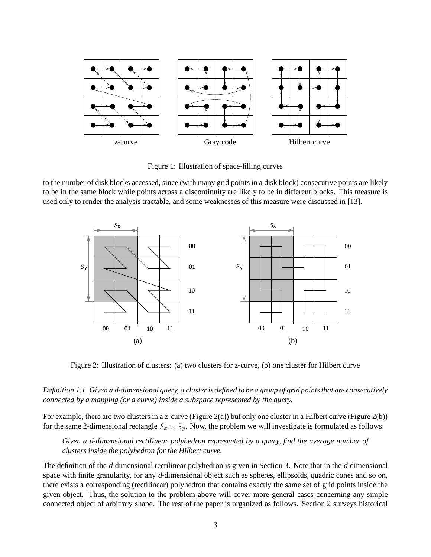

Figure 1: Illustration of space-filling curves

to the number of disk blocks accessed, since (with many grid points in a disk block) consecutive points are likely to be in the same block while points across a discontinuity are likely to be in different blocks. This measure is used only to render the analysis tractable, and some weaknesses of this measure were discussed in [13].



Figure 2: Illustration of clusters: (a) two clusters for z-curve, (b) one cluster for Hilbert curve

#### *Definition 1.1 Given a* <sup>d</sup>*-dimensional query, a cluster is defined to be a group of grid points that are consecutively connected by a mapping (or a curve) inside a subspace represented by the query.*

For example, there are two clusters in a z-curve (Figure 2(a)) but only one cluster in a Hilbert curve (Figure 2(b)) for the same 2-dimensional rectangle  $S_x \times S_y$ . Now, the problem we will investigate is formulated as follows:

### *Given a* <sup>d</sup>*-dimensional rectilinear polyhedron represented by a query, find the average number of clusters inside the polyhedron for the Hilbert curve.*

The definition of the <sup>d</sup>-dimensional rectilinear polyhedron is given in Section 3. Note that in the <sup>d</sup>-dimensional space with finite granularity, for any d-dimensional object such as spheres, ellipsoids, quadric cones and so on, there exists a corresponding (rectilinear) polyhedron that contains exactly the same set of grid points inside the given object. Thus, the solution to the problem above will cover more general cases concerning any simple connected object of arbitrary shape. The rest of the paper is organized as follows. Section 2 surveys historical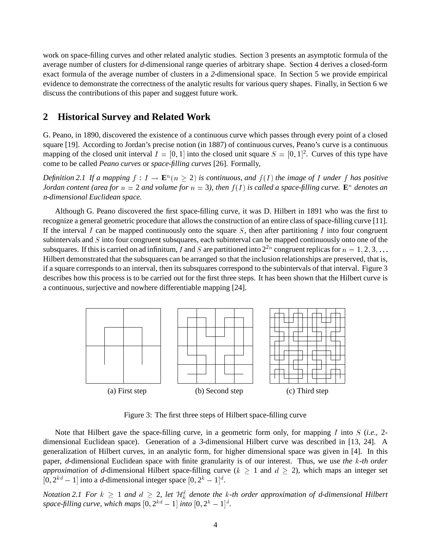work on space-filling curves and other related analytic studies. Section 3 presents an asymptotic formula of the average number of clusters for <sup>d</sup>-dimensional range queries of arbitrary shape. Section 4 derives a closed-form exact formula of the average number of clusters in a <sup>2</sup>-dimensional space. In Section 5 we provide empirical evidence to demonstrate the correctness of the analytic results for various query shapes. Finally, in Section 6 we discuss the contributions of this paper and suggest future work.

# **2 Historical Survey and Related Work**

G. Peano, in 1890, discovered the existence of a continuous curve which passes through every point of a closed square [19]. According to Jordan's precise notion (in 1887) of continuous curves, Peano's curve is a continuous mapping of the closed unit interval  $I = [0, 1]$  into the closed unit square  $S = [0, 1]^2$ . Curves of this type have come to be called *Peano curves* or *space-filling curves* [26]. Formally,

Definition 2.1 If a mapping  $f: I \to \mathbf{E}^n (n \geq 2)$  is continuous, and  $f(I)$  the image of I under f has positive *Jordan content (area for*  $n = 2$  *and volume for*  $n = 3$ *), then*  $f(I)$  *is called a space-filling curve.*  $\mathbf{E}^n$  *denotes an* <sup>n</sup>*-dimensional Euclidean space.*

Although G. Peano discovered the first space-filling curve, it was D. Hilbert in 1891 who was the first to recognize a general geometric procedure that allows the construction of an entire class of space-filling curve [11]. If the interval I can be mapped continuously onto the square  $S$ , then after partitioning I into four congruent subintervals and S into four congruent subsquares, each subinterval can be mapped continuously onto one of the subsquares. If this is carried on ad infinitum, I and S are partitioned into  $2^{2n}$  congruent replicas for  $n = 1, 2, 3, \ldots$ Hilbert demonstrated that the subsquares can be arranged so that the inclusion relationships are preserved, that is, if a square corresponds to an interval, then its subsquares correspond to the subintervals of that interval. Figure 3 describes how this process is to be carried out for the first three steps. It has been shown that the Hilbert curve is a continuous, surjective and nowhere differentiable mapping [24].



Figure 3: The first three steps of Hilbert space-filling curve

Note that Hilbert gave the space-filling curve, in a geometric form only, for mapping <sup>I</sup> into <sup>S</sup> (*i.e.,* 2 dimensional Euclidean space). Generation of a <sup>3</sup>-dimensional Hilbert curve was described in [13, 24]. A generalization of Hilbert curves, in an analytic form, for higher dimensional space was given in [4]. In this paper, <sup>d</sup>-dimensional Euclidean space with finite granularity is of our interest. Thus, we use *the* <sup>k</sup>*-th order approximation* of d-dimensional Hilbert space-filling curve ( $k \ge 1$  and  $d \ge 2$ ), which maps an integer set  $[0, 2^{kd} - 1]$  into a d-dimensional integer space  $[0, 2^k - 1]^d$ .

*Notation* 2.1 For  $k \geq 1$  and  $d \geq 2$ , let  $\mathcal{H}^d_k$  denote the k-th order approximation of d-dimensional Hilbert space-filling curve, which maps  $[0, 2^{kd} - 1]$  into  $[0, 2^k - 1]^d$ .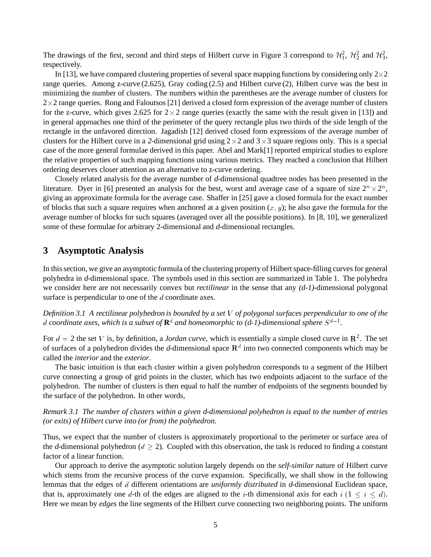The drawings of the first, second and third steps of Hilbert curve in Figure 3 correspond to  $\mathcal{H}_1^2$ ,  $\mathcal{H}_2^2$  and  $\mathcal{H}_3^2$ , respectively.

In [13], we have compared clustering properties of several space mapping functions by considering only  $2\times 2$ range queries. Among z-curve (2.625), Gray coding (2.5) and Hilbert curve (2), Hilbert curve was the best in minimizing the number of clusters. The numbers within the parentheses are the average number of clusters for  $2\times 2$  range queries. Rong and Faloutsos [21] derived a closed form expression of the average number of clusters for the z-curve, which gives 2.625 for  $2 \times 2$  range queries (exactly the same with the result given in [13]) and in general approaches one third of the perimeter of the query rectangle plus two thirds of the side length of the rectangle in the unfavored direction. Jagadish [12] derived closed form expressions of the average number of clusters for the Hilbert curve in a 2-dimensional grid using  $2 \times 2$  and  $3 \times 3$  square regions only. This is a special case of the more general formulae derived in this paper. Abel and Mark[1] reported empirical studies to explore the relative properties of such mapping functions using various metrics. They reached a conclusion that Hilbert ordering deserves closer attention as an alternative to z-curve ordering.

Closely related analysis for the average number of <sup>d</sup>-dimensional quadtree nodes has been presented in the literature. Dyer in [6] presented an analysis for the best, worst and average case of a square of size  $2^n \times 2^n$ , giving an approximate formula for the average case. Shaffer in [25] gave a closed formula for the exact number of blocks that such a square requires when anchored at a given position  $(x, y)$ ; he also gave the formula for the average number of blocks for such squares (averaged over all the possible positions). In [8, 10], we generalized some of these formulae for arbitrary 2-dimensional and <sup>d</sup>-dimensional rectangles.

### **3 Asymptotic Analysis**

In this section, we give an asymptotic formula of the clustering property of Hilbert space-filling curves for general polyhedra in <sup>d</sup>-dimensional space. The symbols used in this section are summarized in Table 1. The polyhedra we consider here are not necessarily convex but *rectilinear* in the sense that any (d-1)-dimensional polygonal surface is perpendicular to one of the d coordinate axes.

*Definition 3.1 A* rectilinear polyhedron *is bounded by a set* <sup>V</sup> *of polygonal surfaces perpendicular to one of the* d coordinate axes, which is a subset of  $\mathbf{R}^{d}$  and homeomorphic to (d-1)-dimensional sphere  $S^{d-1}$ .

For  $d = 2$  the set V is, by definition, a *Jordan curve*, which is essentially a simple closed curve in  $\mathbb{R}^2$ . The set of surfaces of a polyhedron divides the *d*-dimensional space  $\mathbb{R}^d$  into two connected components which may be called the *interior* and the *exterior*.

The basic intuition is that each cluster within a given polyhedron corresponds to a segment of the Hilbert curve connecting a group of grid points in the cluster, which has two endpoints adjacent to the surface of the polyhedron. The number of clusters is then equal to half the number of endpoints of the segments bounded by the surface of the polyhedron. In other words,

*Remark 3.1 The number of clusters within a given* <sup>d</sup>*-dimensional polyhedron is equal to the number of entries (or exits) of Hilbert curve into (or from) the polyhedron.*

Thus, we expect that the number of clusters is approximately proportional to the perimeter or surface area of the d-dimensional polyhedron ( $d \ge 2$ ). Coupled with this observation, the task is reduced to finding a constant factor of a linear function.

Our approach to derive the asymptotic solution largely depends on the *self-similar* nature of Hilbert curve which stems from the recursive process of the curve expansion. Specifically, we shall show in the following lemmas that the edges of <sup>d</sup> different orientations are *uniformly distributed* in <sup>d</sup>-dimensional Euclidean space, that is, approximately one d-th of the edges are aligned to the *i*-th dimensional axis for each  $i (1 \le i \le d)$ . Here we mean by *edges* the line segments of the Hilbert curve connecting two neighboring points. The uniform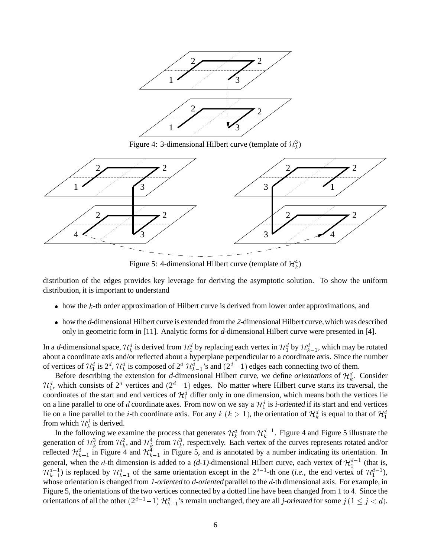

Figure 4: 3-dimensional Hilbert curve (template of  $\mathcal{H}_k^3$ )



Figure 5: 4-dimensional Hilbert curve (template of  $\mathcal{H}_k^4$ )

distribution of the edges provides key leverage for deriving the asymptotic solution. To show the uniform distribution, it is important to understand

- $\bullet$  how the k-th order approximation of Hilbert curve is derived from lower order approximations, and
- how the <sup>d</sup>-dimensional Hilbert curve is extended from the <sup>2</sup>-dimensional Hilbert curve,which was described only in geometric form in [11]. Analytic forms for <sup>d</sup>-dimensional Hilbert curve were presented in [4].

In a d-dimensional space,  $\mathcal{H}_k^d$  is derived from  $\mathcal{H}_1^d$  by replacing each vertex in  $\mathcal{H}_1^d$  by  $\mathcal{H}_{k-1}^d$ , which may be rotated about a coordinate axis and/or reflected about a hyperplane perpendicular to a coordinate axis. Since the number of vertices of  $\mathcal{H}_1^d$  is  $2^d$ ,  $\mathcal{H}_k^d$  is composed of  $2^d$   $\mathcal{H}_{k-1}^d$ 's and  $(2^d-1)$  edges each connecting two of them.

Before describing the extension for *d*-dimensional Hilbert curve, we define *orientations* of  $\mathcal{H}_k^d$ . Consider  $\mathcal{H}_1^d$ , which consists of  $2^d$  vertices and  $(2^d - 1)$  edges. No matter where Hilbert curve starts its traversal, the coordinates of the start and end vertices of  $\mathcal{H}_1^d$  differ only in one dimension, which means both the vertices lie on a line parallel to one of d coordinate axes. From now on we say a  $\mathcal{H}_1^d$  is *i*-oriented if its start and end vertices lie on a line parallel to the *i*-th coordinate axis. For any  $k$   $(k > 1)$ , the orientation of  $\mathcal{H}_k^d$  is equal to that of  $\mathcal{H}_1^d$ from which  $\mathcal{H}_k^d$  is derived.

In the following we examine the process that generates  $\mathcal{H}^d_k$  from  $\mathcal{H}^{d-1}_k$ . Figure 4 and Figure 5 illustrate the generation of  $\mathcal{H}^3_k$  from  $\mathcal{H}^2_k$ , and  $\mathcal{H}^4_k$  from  $\mathcal{H}^3_k$ , respectively. Each vertex of the curves represents rotated and/or reflected  $\mathcal{H}_{k-1}^3$  in Figure 4 and  $\mathcal{H}_{k-1}^4$  in Figure 5, and is annotated by a number indicating its orientation. In general, when the d-th dimension is added to a  $(d-1)$ -dimensional Hilbert curve, each vertex of  $\mathcal{H}_1^{d-1}$  (that is,  $\mathcal{H}_{k-1}^{d-1}$  is replaced by  $\mathcal{H}_{k-1}^d$  of the same orientation except in the  $2^{d-1}$ -th one (*i.e.*, the end vertex of  $\mathcal{H}_1^{d-1}$ ), whose orientation is changed from 1-oriented to d-oriented parallel to the  $d$ -th dimensional axis. For example, in Figure 5, the orientations of the two vertices connected by a dotted line have been changed from 1 to 4. Since the orientations of all the other  $(2^{d-1}-1)$   $\mathcal{H}_{k-1}^d$ 's remain unchanged, they are all j-oriented for some  $j$   $(1 \le j < d)$ .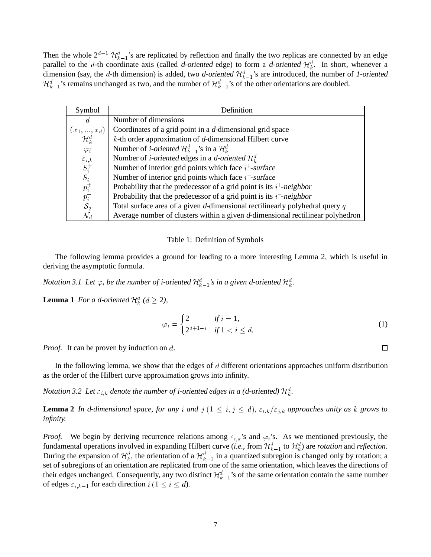Then the whole  $2^{d-1}$   $\mathcal{H}_{k-1}^d$ 's are replicated by reflection and finally the two replicas are connected by an edge parallel to the d-th coordinate axis (called d-oriented edge) to form a d-oriented  $\mathcal{H}^d_k$ . In short, whenever a dimension (say, the d-th dimension) is added, two d-oriented  $\mathcal{H}_{k-1}^d$ 's are introduced, the number of 1-oriented  $\mathcal{H}_{k-1}^d$ 's remains unchanged as two, and the number of  $\mathcal{H}_{k-1}^d$ 's of the other orientations are doubled.

| Symbol                                                                   | Definition                                                                       |
|--------------------------------------------------------------------------|----------------------------------------------------------------------------------|
| d                                                                        | Number of dimensions                                                             |
| $(x_1,,x_d)$                                                             | Coordinates of a grid point in a d-dimensional grid space                        |
| $\mathcal{H}^d_\nu$                                                      | $k$ -th order approximation of d-dimensional Hilbert curve                       |
| $\varphi_i$                                                              | Number of <i>i</i> -oriented $\mathcal{H}_{k-1}^d$ 's in a $\mathcal{H}_k^d$     |
|                                                                          | Number of <i>i</i> -oriented edges in a <i>d</i> -oriented $\mathcal{H}_{k}^{d}$ |
| $\begin{array}{c} \varepsilon_{i,k}\\ S^+_i\\ S^-_i\\ p^+_i \end{array}$ | Number of interior grid points which face $i^+$ -surface                         |
|                                                                          | Number of interior grid points which face $i$ -surface                           |
|                                                                          | Probability that the predecessor of a grid point is its $i^+$ -neighbor          |
| $p_i^-$                                                                  | Probability that the predecessor of a grid point is its $i$ -neighbor            |
| $\mathcal{S}_q$                                                          | Total surface area of a given d-dimensional rectilinearly polyhedral query $q$   |
| ${\cal N}_d$                                                             | Average number of clusters within a given d-dimensional rectilinear polyhedron   |

#### Table 1: Definition of Symbols

The following lemma provides a ground for leading to a more interesting Lemma 2, which is useful in deriving the asymptotic formula.

*Notation 3.1 Let*  $\varphi_i$  *be the number of i-oriented*  $\mathcal{H}^d_{k-1}$ *'s in a given d-oriented*  $\mathcal{H}^d_{k}$ *.* 

**Lemma 1** *For a d-oriented*  $\mathcal{H}_k^d$  ( $d \ge 2$ ),

$$
\varphi_i = \begin{cases} 2 & \text{if } i = 1, \\ 2^{d+1-i} & \text{if } 1 < i \le d. \end{cases} \tag{1}
$$

*Proof.* It can be proven by induction on d.

In the following lemma, we show that the edges of d different orientations approaches uniform distribution as the order of the Hilbert curve approximation grows into infinity.

*Notation 3.2 Let*  $\varepsilon_{i,k}$  *denote the number of i-oriented edges in a (d-oriented)*  $\mathcal{H}^d_k$ *.* 

**Lemma 2** *In* d-dimensional space, for any i and  $j$  ( $1 \leq i, j \leq d$ ),  $\varepsilon_{i,k}/\varepsilon_{j,k}$  approaches unity as k grows to *infinity.*

*Proof.* We begin by deriving recurrence relations among  $\varepsilon_{i,k}$ 's and  $\varphi_i$ 's. As we mentioned previously, the fundamental operations involved in expanding Hilbert curve (*i.e.*, from  $\mathcal{H}_{k-1}^d$  to  $\mathcal{H}_k^d$ ) are *rotation* and *reflection*. During the expansion of  $\mathcal{H}_k^d$ , the orientation of a  $\mathcal{H}_{k-1}^d$  in a quantized subregion is changed only by rotation; a set of subregions of an orientation are replicated from one of the same orientation, which leaves the directions of their edges unchanged. Consequently, any two distinct  $\mathcal{H}^d_{k-1}$ 's of the same orientation contain the same number of edges  $\varepsilon_{i,k-1}$  for each direction  $i$   $(1 \le i \le d)$ .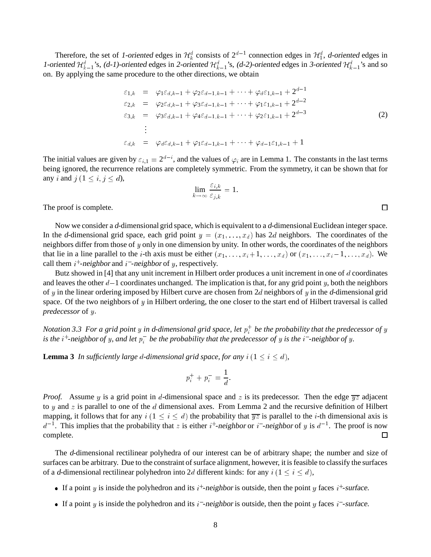Therefore, the set of 1-oriented edges in  $\mathcal{H}_k^d$  consists of  $2^{d-1}$  connection edges in  $\mathcal{H}_1^d$ , d-oriented edges in 1-oriented  $\mathcal{H}^d_{k-1}$ 's, (d-1)-oriented edges in 2-oriented  $\mathcal{H}^d_{k-1}$ 's, (d-2)-oriented edges in 3-oriented  $\mathcal{H}^d_{k-1}$ 's and so on. By applying the same procedure to the other directions, we obtain

$$
\varepsilon_{1,k} = \varphi_1 \varepsilon_{d,k-1} + \varphi_2 \varepsilon_{d-1,k-1} + \cdots + \varphi_d \varepsilon_{1,k-1} + 2^{d-1} \n\varepsilon_{2,k} = \varphi_2 \varepsilon_{d,k-1} + \varphi_3 \varepsilon_{d-1,k-1} + \cdots + \varphi_1 \varepsilon_{1,k-1} + 2^{d-2} \n\varepsilon_{3,k} = \varphi_3 \varepsilon_{d,k-1} + \varphi_4 \varepsilon_{d-1,k-1} + \cdots + \varphi_2 \varepsilon_{1,k-1} + 2^{d-3} \n\vdots \n\varepsilon_{d,k} = \varphi_d \varepsilon_{d,k-1} + \varphi_1 \varepsilon_{d-1,k-1} + \cdots + \varphi_{d-1} \varepsilon_{1,k-1} + 1
$$
\n(2)

The initial values are given by  $\varepsilon_{i,1} = 2^{d-i}$ , and the values of  $\varphi_i$  are in Lemma 1. The constants in the last terms being ignored, the recurrence relations are completely symmetric. From the symmetry, it can be shown that for any *i* and  $j$   $(1 \le i, j \le d)$ ,

$$
\lim_{k \to \infty} \frac{\varepsilon_{i,k}}{\varepsilon_{j,k}} = 1.
$$

The proof is complete.

Now we consider a <sup>d</sup>-dimensional grid space, which is equivalent to a <sup>d</sup>-dimensional Euclidean integer space. In the d-dimensional grid space, each grid point  $y = (x_1, \ldots, x_d)$  has 2d neighbors. The coordinates of the neighbors differ from those of y only in one dimension by unity. In other words, the coordinates of the neighbors that lie in a line parallel to the *i*-th axis must be either  $(x_1, \ldots, x_i + 1, \ldots, x_d)$  or  $(x_1, \ldots, x_i - 1, \ldots, x_d)$ . We call them  $i^+$ -neighbor and  $i^-$ -neighbor of y, respectively.

Butz showed in [4] that any unit increment in Hilbert order produces a unit increment in one of d coordinates and leaves the other  $d-1$  coordinates unchanged. The implication is that, for any grid point y, both the neighbors of y in the linear ordering imposed by Hilbert curve are chosen from  $2d$  neighbors of y in the d-dimensional grid space. Of the two neighbors of  $y$  in Hilbert ordering, the one closer to the start end of Hilbert traversal is called *predecessor* of <sup>y</sup>.

Notation 3.3 For a grid point  $y$  in d-dimensional grid space, let  $p_i^+$  be the probability that the predecessor of  $y$ is the  $i^+$ -neighbor of y, and let  $p_i^-$  be the probability that the predecessor of y is the  $i^-$ -neighbor of y.

**Lemma 3** In sufficiently large d-dimensional grid space, for any  $i$  ( $1 \le i \le d$ ),

$$
p_i^+ + p_i^- = \frac{1}{d}.
$$

*Proof.* Assume y is a grid point in d-dimensional space and z is its predecessor. Then the edge  $\overline{yz}$  adjacent to y and z is parallel to one of the d dimensional axes. From Lemma 2 and the recursive definition of Hilbert mapping, it follows that for any  $i$  ( $1 \le i \le d$ ) the probability that  $\overline{yz}$  is parallel to the *i*-th dimensional axis is  $d^{-1}$ . This implies that the probability that z is either  $i^+$ -neighbor or  $i^-$ -neighbor of y is  $d^{-1}$ . The proof is now complete. П

The <sup>d</sup>-dimensional rectilinear polyhedra of our interest can be of arbitrary shape; the number and size of surfaces can be arbitrary. Due to the constraint of surface alignment, however, it is feasible to classify the surfaces of a d-dimensional rectilinear polyhedron into 2d different kinds: for any  $i$  (1  $\le i \le d$ ),

- If a point y is inside the polyhedron and its  $i^+$ -neighbor is outside, then the point y faces  $i^+$ -surface.
- If a point y is inside the polyhedron and its  $i$ -neighbor is outside, then the point y faces  $i$ -surface.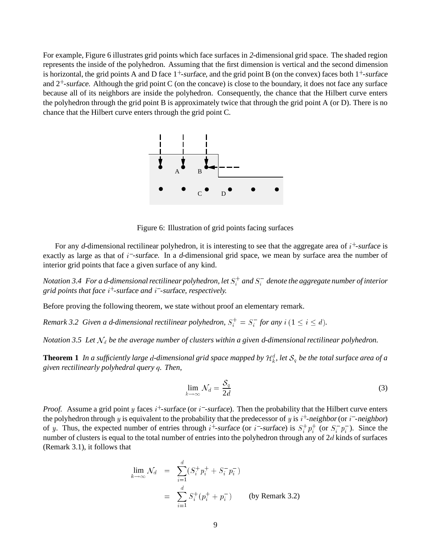For example, Figure 6 illustrates grid points which face surfaces in <sup>2</sup>-dimensional grid space. The shaded region represents the inside of the polyhedron. Assuming that the first dimension is vertical and the second dimension is horizontal, the grid points A and D face  $1^+$ -surface, and the grid point B (on the convex) faces both  $1^+$ -surface and  $2^+$ -surface. Although the grid point C (on the concave) is close to the boundary, it does not face any surface because all of its neighbors are inside the polyhedron. Consequently, the chance that the Hilbert curve enters the polyhedron through the grid point B is approximately twice that through the grid point A (or D). There is no chance that the Hilbert curve enters through the grid point C.



Figure 6: Illustration of grid points facing surfaces

For any d-dimensional rectilinear polyhedron, it is interesting to see that the aggregate area of  $i<sup>+</sup>$ -surface is exactly as large as that of i<sup>-</sup>-surface. In a d-dimensional grid space, we mean by surface area the number of interior grid points that face a given surface of any kind.

 $N$ otation 3.4  $\,$  For a d-dimensional rectilinear polyhedron, let  $S_i^+$  and  $S_i^-$  denote the aggregate number of interior *grid points that face* <sup>i</sup><sup>+</sup> *-*surface *and* i *-*surface*, respectively.*

Before proving the following theorem, we state without proof an elementary remark.

*Remark 3.2 Given a d-dimensional rectilinear polyhedron,*  $S_i^+ = S_i^-$  for any  $i$   $(1 \leq i \leq d)$ .

*Notation 3.5 Let*  $\mathcal{N}_d$  *be the average number of clusters within a given d-dimensional rectilinear polyhedron.* 

**Theorem 1** In a sufficiently large d-dimensional grid space mapped by  $\mathcal{H}^d_k$ , let  $\mathcal{S}_q$  be the total surface area of a *given rectilinearly polyhedral query* <sup>q</sup>*. Then,*

$$
\lim_{k \to \infty} \mathcal{N}_d = \frac{\mathcal{S}_q}{2d} \tag{3}
$$

<sup>i</sup>

*Proof.* Assume a grid point y faces  $i^{+}$ -surface (or  $i^{-}$ -surface). Then the probability that the Hilbert curve enters the polyhedron through y is equivalent to the probability that the predecessor of y is  $i^+$ -neighbor (or  $i^-$ -neighbor) of y. Thus, the expected number of entries through  $i^+$ -surface (or  $i^-$ -surface) is  $S_i^+ p_i^+$  (or  $S_i^- p_i^-$ ). Since the number of clusters is equal to the total number of entries into the polyhedron through any of 2d kinds of surfaces (Remark 3.1), it follows that

$$
\lim_{k \to \infty} \mathcal{N}_d = \sum_{i=1}^{\infty} (S_i^+ p_i^+ + S_i^- p_i^-)
$$
  
=  $\sum_{i=1}^d S_i^+ (p_i^+ + p_i^-)$  (by Remark 3.2)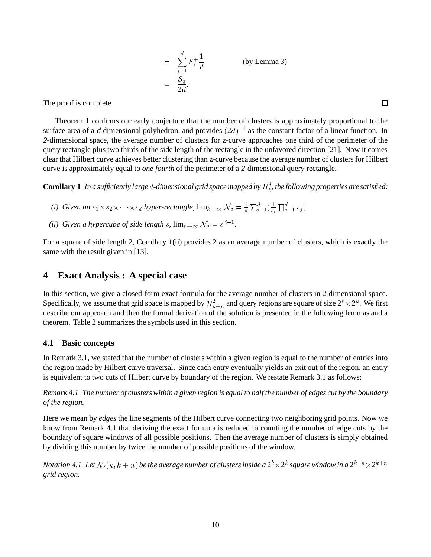$$
= \sum_{i=1}^{d} S_i^+ \frac{1}{d}
$$
 (by Lemma 3)  

$$
= \frac{S_q}{2d}.
$$

The proof is complete.

Theorem 1 confirms our early conjecture that the number of clusters is approximately proportional to the surface area of a d-dimensional polyhedron, and provides  $(2d)^{-1}$  as the constant factor of a linear function. In <sup>2</sup>-dimensional space, the average number of clusters for z-curve approaches one third of the perimeter of the query rectangle plus two thirds of the side length of the rectangle in the unfavored direction [21]. Now it comes clear that Hilbert curve achieves better clustering than z-curve because the average number of clusters for Hilbert curve is approximately equal to *one fourth* of the perimeter of a <sup>2</sup>-dimensional query rectangle.

 $\bf{Corollary~1}$  In a sufficiently large  $d$ -dimensional grid space mapped by  $\mathcal{H}^d_k$ , the following properties are satisfied:

- *(i)* Given an  $s_1 \times s_2 \times \cdots \times s_d$  hyper-rectangle,  $\lim_{k\to\infty} \mathcal{N}_d = \frac{1}{d}$  $\sum_{i=1}^d(\frac{1}{s_i}$  $\prod_{j=1}^{d} s_j$ .
- *(ii)* Given a hypercube of side length s,  $\lim_{k\to\infty} \mathcal{N}_d = s^{d-1}$ .

For a square of side length 2, Corollary 1(ii) provides 2 as an average number of clusters, which is exactly the same with the result given in [13].

# **4 Exact Analysis : A special case**

In this section, we give a closed-form exact formula for the average number of clusters in <sup>2</sup>-dimensional space. Specifically, we assume that grid space is mapped by  $\mathcal{H}^2_{k+n}$  and query regions are square of size  $2^k\times 2^k$ . We first describe our approach and then the formal derivation of the solution is presented in the following lemmas and a theorem. Table 2 summarizes the symbols used in this section.

### **4.1 Basic concepts**

In Remark 3.1, we stated that the number of clusters within a given region is equal to the number of entries into the region made by Hilbert curve traversal. Since each entry eventually yields an exit out of the region, an entry is equivalent to two cuts of Hilbert curve by boundary of the region. We restate Remark 3.1 as follows:

*Remark 4.1 The number of clusters within a given region is equal to half the number of edges cut by the boundary of the region.*

Here we mean by *edges* the line segments of the Hilbert curve connecting two neighboring grid points. Now we know from Remark 4.1 that deriving the exact formula is reduced to counting the number of edge cuts by the boundary of square windows of all possible positions. Then the average number of clusters is simply obtained by dividing this number by twice the number of possible positions of the window.

Notation 4.1 Let  $\mathcal{N}_2(k,k+n)$  be the average number of clusters inside a  $2^k\times 2^k$  square window in a  $2^{k+n}\times 2^{k+n}$ *grid region.*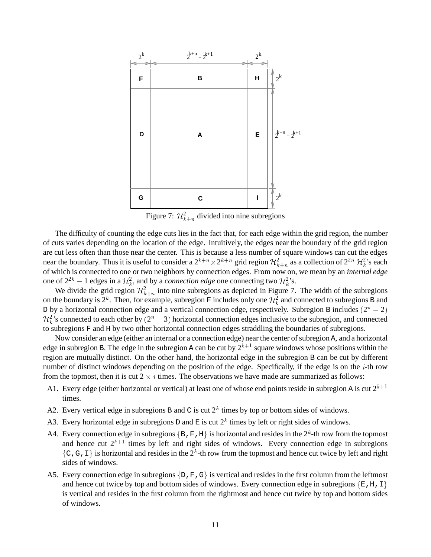

Figure 7:  $\mathcal{H}_{k+n}^2$  divided into nine subregions

The difficulty of counting the edge cuts lies in the fact that, for each edge within the grid region, the number of cuts varies depending on the location of the edge. Intuitively, the edges near the boundary of the grid region are cut less often than those near the center. This is because a less number of square windows can cut the edges near the boundary. Thus it is useful to consider a  $2^{k+n} \times 2^{k+n}$  grid region  $\mathcal{H}^2_{k+n}$  as a collection of  $2^{2n}$   $\mathcal{H}^2_k$ 's each of which is connected to one or two neighbors by connection edges. From now on, we mean by an *internal edge* one of  $2^{2k}$  – 1 edges in a  $\mathcal{H}_k^2$ , and by a *connection edge* one connecting two  $\mathcal{H}_k^2$ 's.

We divide the grid region  $\mathcal{H}_{k+n}^2$  into nine subregions as depicted in Figure 7. The width of the subregions on the boundary is  $2^k$ . Then, for example, subregion F includes only one  $\mathcal{H}^2_k$  and connected to subregions B and D by a horizontal connection edge and a vertical connection edge, respectively. Subregion B includes  $(2<sup>n</sup> - 2)$  $\mathcal{H}_k^2$ 's connected to each other by  $(2^n - 3)$  horizontal connection edges inclusive to the subregion, and connected to subregions F and H by two other horizontal connection edges straddling the boundaries of subregions.

Now consider an edge (either an internal or a connection edge) near the center of subregion A, and a horizontal edge in subregion B. The edge in the subregion A can be cut by  $2^{k+1}$  square windows whose positions within the region are mutually distinct. On the other hand, the horizontal edge in the subregion B can be cut by different number of distinct windows depending on the position of the edge. Specifically, if the edge is on the  $i$ -th row from the topmost, then it is cut  $2 \times i$  times. The observations we have made are summarized as follows:

- A1. Every edge (either horizontal or vertical) at least one of whose end points reside in subregion A is cut  $2^{k+1}$ times.
- A2. Every vertical edge in subregions B and C is cut  $2^k$  times by top or bottom sides of windows.
- A3. Every horizontal edge in subregions D and E is cut  $2^k$  times by left or right sides of windows.
- A4. Every connection edge in subregions  $\{B, F, H\}$  is horizontal and resides in the  $2^k$ -th row from the topmost and hence cut  $2^{k+1}$  times by left and right sides of windows. Every connection edge in subregions  $\{C, G, I\}$  is horizontal and resides in the  $2^k$ -th row from the topmost and hence cut twice by left and right sides of windows.
- A5. Every connection edge in subregions  $\{D, F, G\}$  is vertical and resides in the first column from the leftmost and hence cut twice by top and bottom sides of windows. Every connection edge in subregions  $\{E, H, I\}$ is vertical and resides in the first column from the rightmost and hence cut twice by top and bottom sides of windows.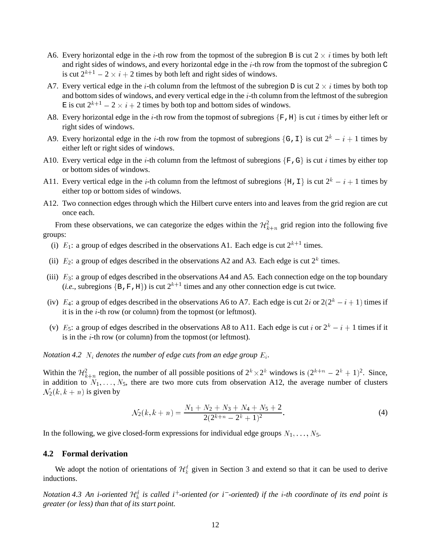- A6. Every horizontal edge in the *i*-th row from the topmost of the subregion B is cut  $2 \times i$  times by both left and right sides of windows, and every horizontal edge in the <sup>i</sup>-th row from the topmost of the subregion C is cut  $2^{k+1}$  –  $2 \times i + 2$  times by both left and right sides of windows.
- A7. Every vertical edge in the *i*-th column from the leftmost of the subregion D is cut  $2 \times i$  times by both top and bottom sides of windows, and every vertical edge in the  $i$ -th column from the leftmost of the subregion E is cut  $2^{k+1} - 2 \times i + 2$  times by both top and bottom sides of windows.
- A8. Every horizontal edge in the *i*-th row from the topmost of subregions  $\{F, H\}$  is cut *i* times by either left or right sides of windows.
- A9. Every horizontal edge in the *i*-th row from the topmost of subregions {G, I} is cut  $2^k i + 1$  times by either left or right sides of windows.
- A10. Every vertical edge in the *i*-th column from the leftmost of subregions  $\{F, G\}$  is cut *i* times by either top or bottom sides of windows.
- A11. Every vertical edge in the *i*-th column from the leftmost of subregions  $\{H, I\}$  is cut  $2^k i + 1$  times by either top or bottom sides of windows.
- A12. Two connection edges through which the Hilbert curve enters into and leaves from the grid region are cut once each.

From these observations, we can categorize the edges within the  $\mathcal{H}_{k+n}^2$  grid region into the following five groups:

- (i)  $E_1$ : a group of edges described in the observations A1. Each edge is cut  $2^{k+1}$  times.
- (ii)  $E_2$ : a group of edges described in the observations A2 and A3. Each edge is cut  $2^k$  times.
- (iii)  $E_3$ : a group of edges described in the observations A4 and A5. Each connection edge on the top boundary (*i.e.*, subregions  $\{B, F, H\}$ ) is cut  $2^{k+1}$  times and any other connection edge is cut twice.
- (iv)  $E_4$ : a group of edges described in the observations A6 to A7. Each edge is cut 2i or  $2(2^k i + 1)$  times if it is in the <sup>i</sup>-th row (or column) from the topmost (or leftmost).
- (v)  $E_5$ : a group of edges described in the observations A8 to A11. Each edge is cut i or  $2^k i + 1$  times if it is in the <sup>i</sup>-th row (or column) from the topmost (or leftmost).

*Notation 4.2*  $N_i$  *denotes the number of edge cuts from an edge group*  $E_i$ *.* 

Within the  $\mathcal{H}_{k+n}^2$  region, the number of all possible positions of  $2^k \times 2^k$  windows is  $(2^{k+n} - 2^k + 1)^2$ . Since, in addition to  $N_1, \ldots, N_5$ , there are two more cuts from observation A12, the average number of clusters  $\mathcal{N}_2(k, k+n)$  is given by

$$
\mathcal{N}_2(k,k+n) = \frac{N_1 + N_2 + N_3 + N_4 + N_5 + 2}{2(2^{k+n} - 2^k + 1)^2}.
$$
\n(4)

In the following, we give closed-form expressions for individual edge groups  $N_1, \ldots, N_5$ .

#### **4.2 Formal derivation**

We adopt the notion of orientations of  $\mathcal{H}^d_k$  given in Section 3 and extend so that it can be used to derive inductions.

*Notation* 4.3 An i-oriented  $\mathcal{H}^d_k$  is called i<sup>+</sup>-oriented (or i<sup>-</sup>-oriented) if the *i*-th coordinate of its end point is *greater (or less) than that of its start point.*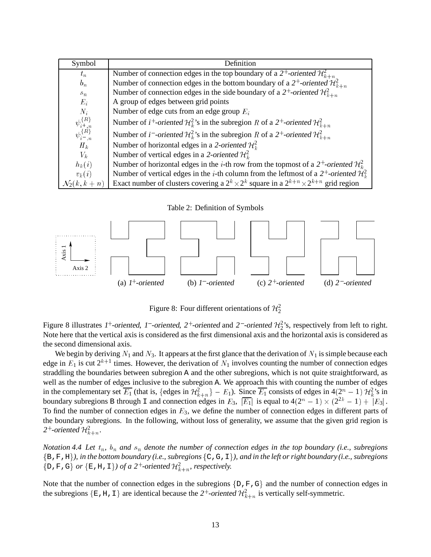| Symbol                                       | Definition                                                                                                                            |  |
|----------------------------------------------|---------------------------------------------------------------------------------------------------------------------------------------|--|
| $t_n$                                        | Number of connection edges in the top boundary of a 2 <sup>+</sup> -oriented $\mathcal{H}_{k+n}^2$                                    |  |
| $b_n$                                        | Number of connection edges in the bottom boundary of a 2 <sup>+</sup> -oriented $\mathcal{H}_{k+n}^2$                                 |  |
| $s_n$                                        | Number of connection edges in the side boundary of a 2 <sup>+</sup> -oriented $\mathcal{H}_{k+n}^2$                                   |  |
| $E_i$                                        | A group of edges between grid points                                                                                                  |  |
| $N_i$                                        | Number of edge cuts from an edge group $E_i$                                                                                          |  |
| $\psi_{i+,n}^{\{R\}} \\ \psi_{i-,n}^{\{R\}}$ | Number of <i>i</i> <sup>+</sup> -oriented $\mathcal{H}_k^2$ 's in the subregion R of a 2 <sup>+</sup> -oriented $\mathcal{H}_{k+n}^2$ |  |
|                                              | Number of <i>i</i> - <i>oriented</i> $\mathcal{H}_k^2$ 's in the subregion R of a 2 <sup>+</sup> -oriented $\mathcal{H}_{k+n}^2$      |  |
| $H_k$                                        | Number of horizontal edges in a 2-oriented $\mathcal{H}^2$ .                                                                          |  |
| $V_k$                                        | Number of vertical edges in a 2-oriented $\mathcal{H}^2$ .                                                                            |  |
| $h_k(i)$                                     | Number of horizontal edges in the <i>i</i> -th row from the topmost of a 2 <sup>+</sup> -oriented $\mathcal{H}^2$ .                   |  |
| $v_k(i)$                                     | Number of vertical edges in the <i>i</i> -th column from the leftmost of a 2 <sup>+</sup> -oriented $\mathcal{H}^2$                   |  |
| $\mathcal{N}_2(k,k+n)$                       | Exact number of clusters covering a $2^k \times 2^k$ square in a $2^{k+n} \times 2^{k+n}$ grid region                                 |  |

Table 2: Definition of Symbols



Figure 8: Four different orientations of  $\mathcal{H}_2^2$ 

Figure 8 illustrates 1<sup>+</sup>-oriented, 1<sup>-</sup>-oriented, 2<sup>+</sup>-oriented and 2<sup>-</sup>-oriented  $\mathcal{H}_2^2$ 's, respectively from left to right. Note here that the vertical axis is considered as the first dimensional axis and the horizontal axis is considered as the second dimensional axis.

We begin by deriving  $N_1$  and  $N_3$ . It appears at the first glance that the derivation of  $N_1$  is simple because each edge in  $E_1$  is cut  $2^{k+1}$  times. However, the derivation of  $N_1$  involves counting the number of connection edges straddling the boundaries between subregion A and the other subregions, which is not quite straightforward, as well as the number of edges inclusive to the subregion A. We approach this with counting the number of edges in the complementary set  $\overline{E_1}$  (that is, {edges in  $\mathcal{H}_{k+n}^2$ } –  $E_1$ ). Since  $\overline{E_1}$  consists of edges in 4(2<sup>n</sup> – 1)  $\mathcal{H}_k^2$ 's in boundary subregions B through I and connection edges in  $E_3$ ,  $|\overline{E_1}|$  is equal to  $4(2^n - 1) \times (2^{2k} - 1) + |E_3|$ . To find the number of connection edges in  $E_3$ , we define the number of connection edges in different parts of the boundary subregions. In the following, without loss of generality, we assume that the given grid region is 2<sup>+</sup>-oriented  $\mathcal{H}^2_{k+n}$ .

*Notation 4.4 Let*  $t_n$ ,  $b_n$  *and*  $s_n$  *denote the number of connection edges in the top boundary (i.e., subregions* <sup>f</sup>B,F,Hg*), in the bottom boundary (i.e., subregions* <sup>f</sup>C,G,Ig*), and in the left or right boundary (i.e., subregions* {D, F, G} *or* {E, H, I}*) of a* 2<sup>+</sup>-oriented  $\mathcal{H}_{k+n}^2$ , *respectively.* 

Note that the number of connection edges in the subregions  $\{D, F, G\}$  and the number of connection edges in the subregions  $\{E, H, I\}$  are identical because the 2<sup>+</sup>-oriented  $\mathcal{H}_{k+n}^2$  is vertically self-symmetric.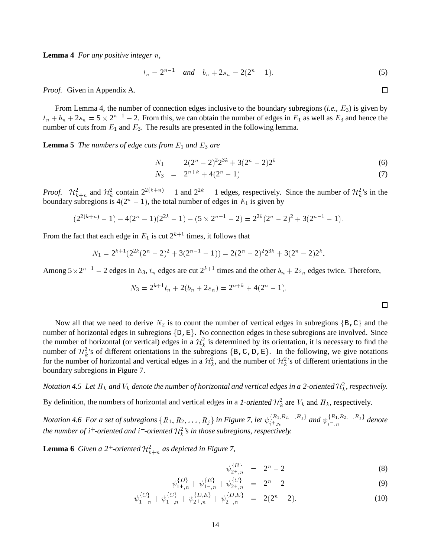**Lemma 4** *For any positive integer* <sup>n</sup>*,*

$$
t_n = 2^{n-1} \quad \text{and} \quad b_n + 2s_n = 2(2^n - 1). \tag{5}
$$

*Proof.* Given in Appendix A.

From Lemma 4, the number of connection edges inclusive to the boundary subregions (*i.e.*, <sup>E</sup>3) is given by  $t_n + b_n + 2s_n = 5 \times 2^{n-1} - 2$ . From this, we can obtain the number of edges in  $E_1$  as well as  $E_3$  and hence the number of cuts from  $E_1$  and  $E_3$ . The results are presented in the following lemma.

**Lemma 5** *The numbers of edge cuts from*  $E_1$  *and*  $E_3$  *are* 

$$
N_1 = 2(2^n - 2)^2 2^{3k} + 3(2^n - 2) 2^k \tag{6}
$$

$$
N_3 = 2^{n+k} + 4(2^n - 1) \tag{7}
$$

*Proof.*  $\mathcal{H}_{k+n}^2$  and  $\mathcal{H}_k^2$  contain  $2^{2(k+n)} - 1$  and  $2^{2k} - 1$  edges, respectively. Since the number of  $\mathcal{H}_k^2$ 's in the boundary subregions is  $4(2^n - 1)$ , the total number of edges in  $E_1$  is given by

$$
(2^{2(k+n)}-1)-4(2^{n}-1)(2^{2k}-1)-(5\times 2^{n-1}-2)=2^{2k}(2^{n}-2)^{2}+3(2^{n-1}-1).
$$

From the fact that each edge in  $E_1$  is cut  $2^{k+1}$  times, it follows that

$$
N_1 = 2^{k+1}(2^{2k}(2^n - 2)^2 + 3(2^{n-1} - 1)) = 2(2^n - 2)^2 2^{3k} + 3(2^n - 2)2^k.
$$

Among  $5 \times 2^{n-1} - 2$  edges in  $E_3$ ,  $t_n$  edges are cut  $2^{k+1}$  times and the other  $b_n + 2s_n$  edges twice. Therefore,

$$
N_3 = 2^{k+1}t_n + 2(b_n + 2s_n) = 2^{n+k} + 4(2^n - 1).
$$

 $\Box$ 

Now all that we need to derive  $N_2$  is to count the number of vertical edges in subregions {B, C} and the number of horizontal edges in subregions  $\{D, E\}$ . No connection edges in these subregions are involved. Since the number of horizontal (or vertical) edges in a  $H_k^2$  is determined by its orientation, it is necessary to find the number of  $\mathcal{H}^2_k$ 's of different orientations in the subregions  $\{B, C, D, E\}$ . In the following, we give notations for the number of horizontal and vertical edges in a  $H_k^2$ , and the number of  $H_k^2$ 's of different orientations in the boundary subregions in Figure 7.

Notation 4.5 Let  $H_k$  and  $V_k$  denote the number of horizontal and vertical edges in a 2-oriented  ${\cal H}^2_k$ , respectively.

By definition, the numbers of horizontal and vertical edges in a 1-oriented  $\mathcal{H}^2_k$  are  $V_k$  and  $H_k$ , respectively.

*Notation* 4.6 For a set of subregions  $\{R_1, R_2, \ldots, R_j\}$  in Figure 7, let  $\psi_{i+n}^{\{R_1, R_2, \ldots, R_j\}}$  and  $\psi_{i-n}^{\{R_1, R_2, \ldots, R_j\}}$  denote *the number of*  $i^+$ -oriented and  $i^-$ -oriented  $\mathcal{H}^2_k$  *s* in those subregions, respectively.

**Lemma 6** *Given a* 2<sup>+</sup>-oriented  $\mathcal{H}_{k+n}^2$  *as depicted in Figure 7,* 

$$
\psi_{2+,n}^{\{B\}} = 2^n - 2 \tag{8}
$$

$$
\psi_{1^+,n}^{\{D\}} + \psi_{1^-,n}^{\{E\}} + \psi_{2^+,n}^{\{C\}} = 2^n - 2 \tag{9}
$$

$$
\psi_{1^+,n}^{\{C\}} + \psi_{1^-,n}^{\{C\}} + \psi_{2^+,n}^{\{D,E\}} + \psi_{2^-,n}^{\{D,E\}} = 2(2^n - 2). \tag{10}
$$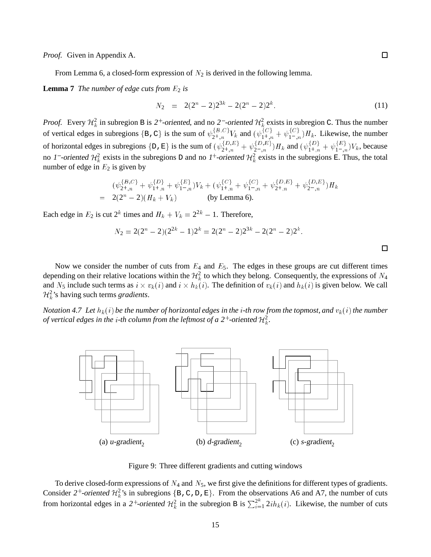*Proof.* Given in Appendix A.

From Lemma 6, a closed-form expression of  $N_2$  is derived in the following lemma.

**Lemma 7** *The number of edge cuts from*  $E_2$  *is* 

$$
N_2 = 2(2^n - 2)2^{3k} - 2(2^n - 2)2^k. \tag{11}
$$

*Proof.* Every  $H_k^2$  in subregion B is 2<sup>+</sup>-oriented, and no 2<sup>-</sup>-oriented  $H_k^2$  exists in subregion C. Thus the number of vertical edges in subregions {B, C} is the sum of  $\psi_{2^+,n}^{1^D,0}V_k$  and  $(\psi_{1^+,n}^{1^C} + \psi_{1^-,n}^{1^C})H_k$ . Likewise, the number of horizontal edges in subregions  $\{D, E\}$  is the sum of  $(\psi_{2^+,n}^{D,E} + \psi_{2^-,n}^{D,E})H_k$  and  $(\psi_{1^+,n}^{D,E} + \psi_{1^-,n}^{E})V_k$ , because no 1<sup>-</sup>-oriented  $H_k^2$  exists in the subregions D and no 1<sup>+</sup>-oriented  $H_k^2$  exists in the subregions E. Thus, the total number of edge in  $E_2$  is given by

$$
(\psi_{2^+,n}^{\{B,C\}} + \psi_{1^+,n}^{\{D\}} + \psi_{1^-,n}^{\{E\}})V_k + (\psi_{1^+,n}^{\{C\}} + \psi_{1^-,n}^{\{C\}} + \psi_{2^+,n}^{\{D,E\}} + \psi_{2^-,n}^{\{D,E\}})H_k
$$
  
= 2(2<sup>n</sup> - 2)(H<sub>k</sub> + V<sub>k</sub>) (by Lemma 6).

Each edge in  $E_2$  is cut  $2^k$  times and  $H_k + V_k = 2^{2k} - 1$ . Therefore,

$$
N_2 = 2(2^n - 2)(2^{2k} - 1)2^k = 2(2^n - 2)2^{3k} - 2(2^n - 2)2^k.
$$

Now we consider the number of cuts from  $E_4$  and  $E_5$ . The edges in these groups are cut different times depending on their relative locations within the  $\mathcal{H}^2_k$  to which they belong. Consequently, the expressions of  $N_4$ and  $N_5$  include such terms as  $i \times v_k(i)$  and  $i \times h_k(i)$ . The definition of  $v_k(i)$  and  $h_k(i)$  is given below. We call  $\mathcal{H}_k^2$ 's having such terms *gradients*.

*Notation 4.7 Let*  $h_k(i)$  *be the number of horizontal edges in the i-th row from the topmost, and*  $v_k(i)$  *the number of vertical edges in the i-th column from the leftmost of a 2<sup>+</sup>-oriented*  $\mathcal{H}^2_k$ *.* 



Figure 9: Three different gradients and cutting windows

To derive closed-form expressions of  $N_4$  and  $N_5$ , we first give the definitions for different types of gradients. Consider 2<sup>+</sup>-oriented  $\mathcal{H}_k^2$ 's in subregions {B, C, D, E}. From the observations A6 and A7, the number of cuts from horizontal edges in a 2<sup>+</sup>-oriented  $\mathcal{H}_k^2$  in the subregion B is  $\sum_{i=1}^{2^k} 2ih_k(i)$ . Likewise, the number of cuts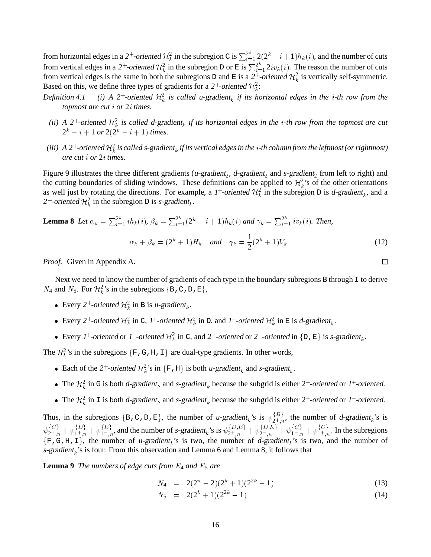from horizontal edges in a 2<sup>+</sup>-oriented  $H_k^2$  in the subregion C is  $\sum_{i=1}^{2^k} 2(2^k-i+1)h_k(i)$ , and the number of cuts from vertical edges in a 2<sup>+</sup>-oriented  $\mathcal{H}^2_k$  in the subregion D or E is  $\sum_{i=1}^{2^k} 2iv_k(i)$ . The reason the number of cuts from vertical edges is the same in both the subregions D and E is a 2<sup>+</sup>-oriented  $\mathcal{H}^2_k$  is vertically self-symmetric. Based on this, we define three types of gradients for a 2<sup>+</sup>-oriented  $\mathcal{H}_k^2$ :

- *Definition 4.1* <sup>+</sup>-oriented  $\mathcal{H}^2_k$  is called u-gradient<sub>k</sub> if its horizontal edges in the *i*-th row from the *topmost are cut* <sup>i</sup> *or* 2<sup>i</sup> *times.*
	- *(ii)* A 2<sup>+</sup>-oriented  $\mathcal{H}^2_k$  is called d-gradient<sub>k</sub> if its horizontal edges in the *i*-th row from the topmost are cut  $2^k - i + 1$  *or*  $2(2^k - i + 1)$  *times.*
- (iii) A 2<sup>+</sup>-oriented  $\mathcal{H}^2_k$  is called s-gradient<sub>k</sub> if its vertical edges in the i-th column from the leftmost (or rightmost) *are cut* <sup>i</sup> *or* 2<sup>i</sup> *times.*

Figure 9 illustrates the three different gradients (*u-gradient*<sub>2</sub>, *d-gradient*<sub>2</sub> and *s-gradient*<sub>2</sub> from left to right) and the cutting boundaries of sliding windows. These definitions can be applied to  $\mathcal{H}^2$  s of the other orientations as well just by rotating the directions. For example, a 1<sup>+</sup>-oriented  $\mathcal{H}^2_k$  in the subregion D is *d*-gradient<sub>k</sub>, and a 2<sup>-</sup>-oriented  $\mathcal{H}_k^2$  in the subregion D is *s*-gradient<sub>k</sub>.

**Lemma 8** Let  $\alpha_k = \sum_{i=1}^{2^k} i h_k(i)$ ,  $\beta_k = \sum_{i=1}^{2^k} (2^k - i + 1) h_k(i)$  and  $\gamma_k = \sum_{i=1}^{2^k} i v_k(i)$ . Then,  $\alpha_k + \beta_k = (2^k + 1)H_k$  and  $\gamma_k = \frac{1}{2^k}$  $\frac{1}{2}(2^k+1)V_k$  (12)

*Proof.* Given in Appendix A.

Next we need to know the number of gradients of each type in the boundary subregions B through I to derive  $N_4$  and  $N_5$ . For  $\mathcal{H}_k^2$ 's in the subregions {B, C, D, E},

- Every 2<sup>+</sup>-oriented  $\mathcal{H}_k^2$  in B is u-gradient<sub>k</sub>.
- Every 2<sup>+</sup>-oriented  $\mathcal{H}_k^2$  in C, 1<sup>+</sup>-oriented  $\mathcal{H}_k^2$  in D, and 1<sup>-</sup>-oriented  $\mathcal{H}_k^2$  in E is d-gradient<sub>k</sub>.
- Every 1<sup>+</sup>-oriented or 1<sup>-</sup>-oriented  $\mathcal{H}_k^2$  in C, and 2<sup>+</sup>-oriented or 2<sup>-</sup>-oriented in {D, E} is s-gradient<sub>k</sub>.

The  $\mathcal{H}_k^2$ 's in the subregions  $\{F,G,H,I\}$  are dual-type gradients. In other words,

- Each of the 2<sup>+</sup>-oriented  $\mathcal{H}_k^2$ 's in {F, H} is both u-gradient<sub>k</sub> and s-gradient<sub>k</sub>.
- The  $\mathcal{H}_k^2$  in G is both d-gradient<sub>k</sub> and s-gradient<sub>k</sub> because the subgrid is either 2<sup>+</sup>-oriented or 1<sup>+</sup>-oriented.
- The  $\mathcal{H}_k^2$  in I is both d-gradient<sub>k</sub> and s-gradient<sub>k</sub> because the subgrid is either 2<sup>+</sup>-oriented or 1<sup>-</sup>-oriented.

Thus, in the subregions  $\{B, C, D, E\}$ , the number of u-gradient<sub>k</sub>'s is  $\psi_{2^+,n}^{D}$ , the number of d-gradient<sub>k</sub>'s is  $\psi_{2^+,n}^{\{C\}} + \psi_{1^+,n}^{\{D\}} + \psi_{1^-,n}^{\{E\}}$ , and the number of s-gradient<sub>k</sub>'s is  $\psi_{2^+,n}^{\{D,E\}} + \psi_{2^-,n}^{\{D,E\}} + \psi_{1^-,n}^{\{C\}} + \psi_{1^+,n}^{\{C\}}$ . In the subregions  $\{F,G,H,I\}$ , the number of u-gradient<sub>k</sub>'s is two, the number of d-gradient<sub>k</sub>'s is two, and the number of s-gradient<sub>k</sub>'s is four. From this observation and Lemma 6 and Lemma 8, it follows that

**Lemma 9** *The numbers of edge cuts from*  $E_4$  *and*  $E_5$  *are* 

$$
N_4 = 2(2^n - 2)(2^k + 1)(2^{2k} - 1) \tag{13}
$$

$$
N_5 = 2(2^k + 1)(2^{2k} - 1) \tag{14}
$$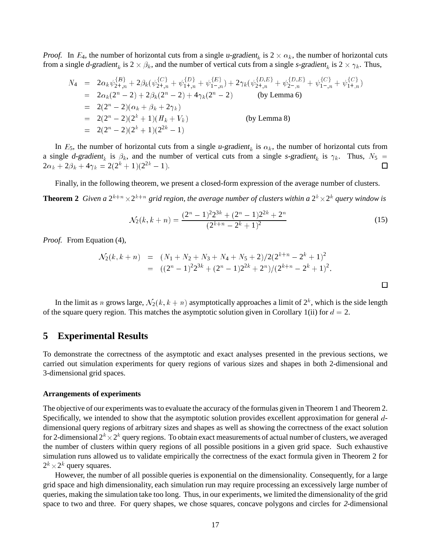*Proof.* In  $E_4$ , the number of horizontal cuts from a single u-gradient<sub>k</sub> is  $2 \times \alpha_k$ , the number of horizontal cuts from a single d-gradient<sub>k</sub> is  $2 \times \beta_k$ , and the number of vertical cuts from a single s-gradient<sub>k</sub> is  $2 \times \gamma_k$ . Thus,

$$
N_4 = 2\alpha_k \psi_{2+,n}^{\{B\}} + 2\beta_k (\psi_{2+,n}^{\{C\}} + \psi_{1+,n}^{\{D\}} + \psi_{1-,n}^{\{E\}}) + 2\gamma_k (\psi_{2+,n}^{\{D,E\}} + \psi_{2-,n}^{\{D,E\}} + \psi_{1-,n}^{\{C\}} + \psi_{1+,n}^{\{C\}})
$$
  
\n
$$
= 2\alpha_k (2^n - 2) + 2\beta_k (2^n - 2) + 4\gamma_k (2^n - 2)
$$
 (by Lemma 6)  
\n
$$
= 2(2^n - 2)(\alpha_k + \beta_k + 2\gamma_k)
$$
  
\n
$$
= 2(2^n - 2)(2^k + 1)(H_k + V_k)
$$
 (by Lemma 8)  
\n
$$
= 2(2^n - 2)(2^k + 1)(2^{2k} - 1)
$$

In  $E_5$ , the number of horizontal cuts from a single u-gradient<sub>k</sub> is  $\alpha_k$ , the number of horizontal cuts from a single d-gradient<sub>k</sub> is  $\beta_k$ , and the number of vertical cuts from a single s-gradient<sub>k</sub> is  $\gamma_k$ . Thus,  $N_5$  =  $2\alpha_k+2\beta_k+4\gamma_k=2(2^k+1)(2^{2k}-1).$  $\Box$ 

Finally, in the following theorem, we present a closed-form expression of the average number of clusters. **Theorem 2** Given a  $2^{k+n} \times 2^{k+n}$  grid region, the average number of clusters within a  $2^k \times 2^k$  query window is

$$
\mathcal{N}_2(k, k+n) = \frac{(2^n - 1)^2 2^{3k} + (2^n - 1)2^{2k} + 2^n}{(2^{k+n} - 2^k + 1)^2}
$$
\n(15)

*Proof.* From Equation (4),

$$
\mathcal{N}_2(k, k+n) = (N_1 + N_2 + N_3 + N_4 + N_5 + 2)/2(2^{k+n} - 2^k + 1)^2
$$
  
=  $((2^n - 1)^2 2^{3k} + (2^n - 1)2^{2k} + 2^n)/(2^{k+n} - 2^k + 1)^2$ .

In the limit as n grows large,  $\mathcal{N}_2(k,k+n)$  asymptotically approaches a limit of  $2^k$ , which is the side length of the square query region. This matches the asymptotic solution given in Corollary 1(ii) for  $d = 2$ .

### **5 Experimental Results**

To demonstrate the correctness of the asymptotic and exact analyses presented in the previous sections, we carried out simulation experiments for query regions of various sizes and shapes in both 2-dimensional and 3-dimensional grid spaces.

#### **Arrangements of experiments**

The objective of our experiments was to evaluate the accuracy of the formulas given in Theorem 1 and Theorem 2. Specifically, we intended to show that the asymptotic solution provides excellent approximation for general <sup>d</sup>dimensional query regions of arbitrary sizes and shapes as well as showing the correctness of the exact solution for 2-dimensional  $2^k \times 2^k$  query regions. To obtain exact measurements of actual number of clusters, we averaged the number of clusters within query regions of all possible positions in a given grid space. Such exhaustive simulation runs allowed us to validate empirically the correctness of the exact formula given in Theorem 2 for  $2^k \times 2^k$  query squares.

However, the number of all possible queries is exponential on the dimensionality. Consequently, for a large grid space and high dimensionality, each simulation run may require processing an excessively large number of queries, making the simulation take too long. Thus, in our experiments, we limited the dimensionality of the grid space to two and three. For query shapes, we chose squares, concave polygons and circles for <sup>2</sup>-dimensional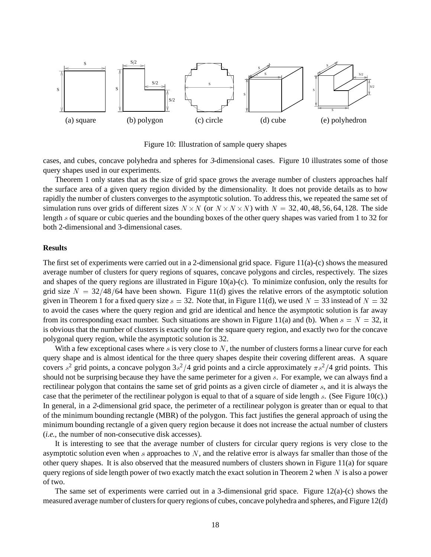

Figure 10: Illustration of sample query shapes

cases, and cubes, concave polyhedra and spheres for <sup>3</sup>-dimensional cases. Figure 10 illustrates some of those query shapes used in our experiments.

Theorem 1 only states that as the size of grid space grows the average number of clusters approaches half the surface area of a given query region divided by the dimensionality. It does not provide details as to how rapidly the number of clusters converges to the asymptotic solution. To address this, we repeated the same set of simulation runs over grids of different sizes  $N \times N$  (or  $N \times N \times N$ ) with  $N = 32, 40, 48, 56, 64, 128$ . The side length <sup>s</sup> of square or cubic queries and the bounding boxes of the other query shapes was varied from 1 to 32 for both 2-dimensional and 3-dimensional cases.

#### **Results**

The first set of experiments were carried out in a 2-dimensional grid space. Figure 11(a)-(c) shows the measured average number of clusters for query regions of squares, concave polygons and circles, respectively. The sizes and shapes of the query regions are illustrated in Figure 10(a)-(c). To minimize confusion, only the results for grid size  $N = 32/48/64$  have been shown. Figure 11(d) gives the relative errors of the asymptotic solution given in Theorem 1 for a fixed query size  $s = 32$ . Note that, in Figure 11(d), we used  $N = 33$  instead of  $N = 32$ to avoid the cases where the query region and grid are identical and hence the asymptotic solution is far away from its corresponding exact number. Such situations are shown in Figure 11(a) and (b). When  $s = N = 32$ , it is obvious that the number of clusters is exactly one for the square query region, and exactly two for the concave polygonal query region, while the asymptotic solution is 32.

With a few exceptional cases where s is very close to  $N$ , the number of clusters forms a linear curve for each query shape and is almost identical for the three query shapes despite their covering different areas. A square covers  $s^2$  grid points, a concave polygon  $3s^2/4$  grid points and a circle approximately  $\pi s^2/4$  grid points. This should not be surprising because they have the same perimeter for a given <sup>s</sup>. For example, we can always find a rectilinear polygon that contains the same set of grid points as a given circle of diameter <sup>s</sup>, and it is always the case that the perimeter of the rectilinear polygon is equal to that of a square of side length <sup>s</sup>. (See Figure 10(c).) In general, in a <sup>2</sup>-dimensional grid space, the perimeter of a rectilinear polygon is greater than or equal to that of the minimum bounding rectangle (MBR) of the polygon. This fact justifies the general approach of using the minimum bounding rectangle of a given query region because it does not increase the actual number of clusters (*i.e.*, the number of non-consecutive disk accesses).

It is interesting to see that the average number of clusters for circular query regions is very close to the asymptotic solution even when s approaches to  $N$ , and the relative error is always far smaller than those of the other query shapes. It is also observed that the measured numbers of clusters shown in Figure 11(a) for square query regions of side length power of two exactly match the exact solution in Theorem 2 when  $N$  is also a power of two.

The same set of experiments were carried out in a 3-dimensional grid space. Figure 12(a)-(c) shows the measured average number of clusters for query regions of cubes, concave polyhedra and spheres, and Figure 12(d)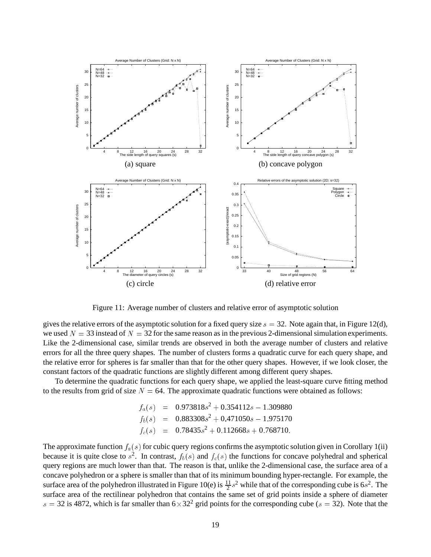

Figure 11: Average number of clusters and relative error of asymptotic solution

gives the relative errors of the asymptotic solution for a fixed query size  $s = 32$ . Note again that, in Figure 12(d), we used  $N = 33$  instead of  $N = 32$  for the same reason as in the previous 2-dimensional simulation experiments. Like the 2-dimensional case, similar trends are observed in both the average number of clusters and relative errors for all the three query shapes. The number of clusters forms a quadratic curve for each query shape, and the relative error for spheres is far smaller than that for the other query shapes. However, if we look closer, the constant factors of the quadratic functions are slightly different among different query shapes.

To determine the quadratic functions for each query shape, we applied the least-square curve fitting method to the results from grid of size  $N = 64$ . The approximate quadratic functions were obtained as follows:

$$
f_a(s) = 0.973818s^2 + 0.354112s - 1.309880
$$
  
\n
$$
f_b(s) = 0.883308s^2 + 0.471050s - 1.975170
$$
  
\n
$$
f_c(s) = 0.78435s^2 + 0.112668s + 0.768710.
$$

The approximate function  $f_a(s)$  for cubic query regions confirms the asymptotic solution given in Corollary 1(ii) because it is quite close to  $s^2$ . In contrast,  $f_b(s)$  and  $f_c(s)$  the functions for concave polyhedral and spherical query regions are much lower than that. The reason is that, unlike the 2-dimensional case, the surface area of a concave polyhedron or a sphere is smaller than that of its minimum bounding hyper-rectangle. For example, the surface area of the polyhedron illustrated in Figure 10(e) is  $\frac{11}{2}$  $\frac{11}{2}s^2$  while that of the corresponding cube is 6s<sup>2</sup>. The surface area of the rectilinear polyhedron that contains the same set of grid points inside a sphere of diameter  $s = 32$  is 4872, which is far smaller than  $6 \times 32^2$  grid points for the corresponding cube ( $s = 32$ ). Note that the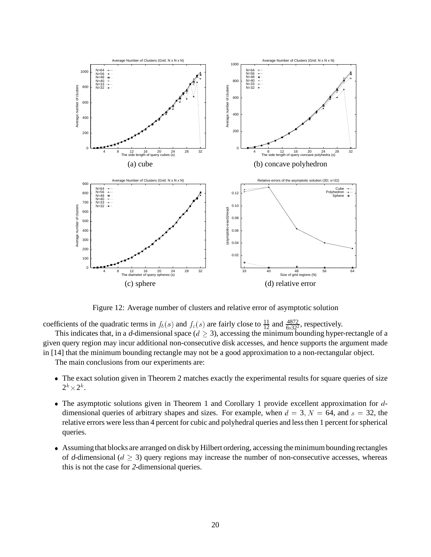

Figure 12: Average number of clusters and relative error of asymptotic solution

coefficients of the quadratic terms in  $f_b(s)$  and  $f_c(s)$  are fairly close to  $\frac{11}{12}$  and  $\frac{4872}{6\times32^2}$ , respectively.

This indicates that, in a d-dimensional space ( $d \geq 3$ ), accessing the minimum bounding hyper-rectangle of a given query region may incur additional non-consecutive disk accesses, and hence supports the argument made in [14] that the minimum bounding rectangle may not be a good approximation to a non-rectangular object.

The main conclusions from our experiments are:

- The exact solution given in Theorem 2 matches exactly the experimental results for square queries of size  $2^k \times 2^k$ .
- The asymptotic solutions given in Theorem 1 and Corollary 1 provide excellent approximation for ddimensional queries of arbitrary shapes and sizes. For example, when  $d = 3$ ,  $N = 64$ , and  $s = 32$ , the relative errors were less than 4 percent for cubic and polyhedral queries and less then 1 percent for spherical queries.
- Assuming that blocks are arranged on disk by Hilbert ordering, accessing the minimum bounding rectangles of d-dimensional ( $d \geq 3$ ) query regions may increase the number of non-consecutive accesses, whereas this is not the case for <sup>2</sup>-dimensional queries.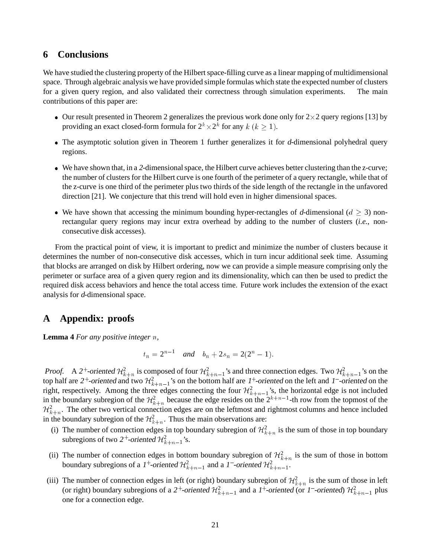### **6 Conclusions**

We have studied the clustering property of the Hilbert space-filling curve as a linear mapping of multidimensional space. Through algebraic analysis we have provided simple formulas which state the expected number of clusters for a given query region, and also validated their correctness through simulation experiments. The main contributions of this paper are:

- Our result presented in Theorem 2 generalizes the previous work done only for  $2 \times 2$  query regions [13] by providing an exact closed-form formula for  $2^k \times 2^k$  for any  $k$   $(k \ge 1)$ .
- The asymptotic solution given in Theorem 1 further generalizes it for <sup>d</sup>-dimensional polyhedral query regions.
- We have shown that, in a <sup>2</sup>-dimensional space, the Hilbert curve achieves better clustering than the z-curve; the number of clusters for the Hilbert curve is one fourth of the perimeter of a query rectangle, while that of the z-curve is one third of the perimeter plus two thirds of the side length of the rectangle in the unfavored direction [21]. We conjecture that this trend will hold even in higher dimensional spaces.
- We have shown that accessing the minimum bounding hyper-rectangles of d-dimensional ( $d \geq 3$ ) nonrectangular query regions may incur extra overhead by adding to the number of clusters (*i.e.*, nonconsecutive disk accesses).

From the practical point of view, it is important to predict and minimize the number of clusters because it determines the number of non-consecutive disk accesses, which in turn incur additional seek time. Assuming that blocks are arranged on disk by Hilbert ordering, now we can provide a simple measure comprising only the perimeter or surface area of a given query region and its dimensionality, which can then be used to predict the required disk access behaviors and hence the total access time. Future work includes the extension of the exact analysis for <sup>d</sup>-dimensional space.

# **A Appendix: proofs**

**Lemma 4** *For any positive integer* <sup>n</sup>*,*

$$
t_n = 2^{n-1}
$$
 and  $b_n + 2s_n = 2(2^n - 1)$ .

*Proof.* A 2<sup>+</sup>-oriented  $\mathcal{H}_{k+n}^2$  is composed of four  $\mathcal{H}_{k+n-1}^2$ 's and three connection edges. Two  $\mathcal{H}_{k+n-1}^2$ 's on the top half are 2<sup>+</sup>-oriented and two  $\mathcal{H}_{k+n-1}^2$ 's on the bottom half are 1<sup>+</sup>-oriented on the left and 1<sup>-</sup>-oriented on the right, respectively. Among the three edges connecting the four  $\mathcal{H}_{k+n-1}^2$ 's, the horizontal edge is not included in the boundary subregion of the  $\mathcal{H}_{k+n}^2$  because the edge resides on the  $2^{k+n-1}$ -th row from the topmost of the  $\mathcal{H}_{k+n}^2$ . The other two vertical connection edges are on the leftmost and rightmost columns and hence included in the boundary subregion of the  $\mathcal{H}_{k+n}^2$ . Thus the main observations are:

- (i) The number of connection edges in top boundary subregion of  $\mathcal{H}_{k+n}^2$  is the sum of those in top boundary subregions of two 2<sup>+</sup>-oriented  $\mathcal{H}^2_{k+n-1}$ 's.
- (ii) The number of connection edges in bottom boundary subregion of  $\mathcal{H}_{k+n}^2$  is the sum of those in bottom boundary subregions of a 1<sup>+</sup>-oriented  $\mathcal{H}_{k+n-1}^2$  and a 1<sup>-</sup>-oriented  $\mathcal{H}_{k+n-1}^2$ .
- (iii) The number of connection edges in left (or right) boundary subregion of  $\mathcal{H}_{k+n}^2$  is the sum of those in left (or right) boundary subregions of a 2<sup>+</sup>-oriented  $\mathcal{H}_{k+n-1}^2$  and a 1<sup>+</sup>-oriented (or 1<sup>-</sup>-oriented)  $\mathcal{H}_{k+n-1}^2$  plus one for a connection edge.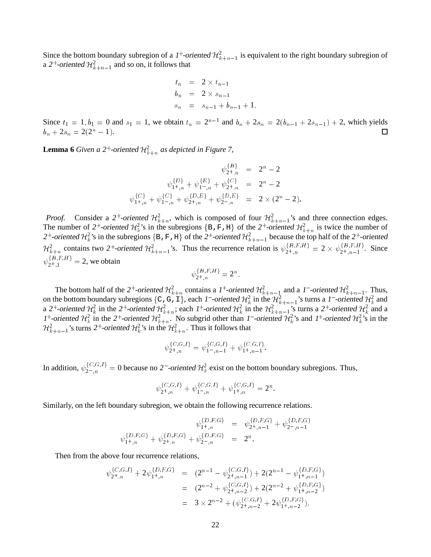Since the bottom boundary subregion of a 1<sup>+</sup>-oriented  $\mathcal{H}^2_{k+n-1}$  is equivalent to the right boundary subregion of a 2<sup>+</sup>-oriented  $\mathcal{H}^2_{k+n-1}$  and so on, it follows that

$$
t_n = 2 \times t_{n-1}
$$
  
\n
$$
b_n = 2 \times s_{n-1}
$$
  
\n
$$
s_n = s_{n-1} + b_{n-1} + 1.
$$

Since  $t_1 = 1, b_1 = 0$  and  $s_1 = 1$ , we obtain  $t_n = 2^{n-1}$  and  $b_n + 2s_n = 2(b_{n-1} + 2s_{n-1}) + 2$ , which yields  $b_n + 2s_n = 2(2^n - 1).$  $\Box$ 

**Lemma 6** *Given a* 2<sup>+</sup>-oriented  $\mathcal{H}_{k+n}^2$  *as depicted in Figure 7,* 

$$
\psi_{2^+,n}^{\{B\}} = 2^n - 2
$$
  

$$
\psi_{1^+,n}^{\{D\}} + \psi_{1^-,n}^{\{E\}} + \psi_{2^+,n}^{\{C\}} = 2^n - 2
$$
  

$$
\psi_{1^+,n}^{\{C\}} + \psi_{1^-,n}^{\{D\}} + \psi_{2^+,n}^{\{D,E\}} + \psi_{2^-,n}^{\{D,E\}} = 2 \times (2^n - 2).
$$

*Proof.* Consider a 2<sup>+</sup>-oriented  $\mathcal{H}_{k+n}^2$ , which is composed of four  $\mathcal{H}_{k+n-1}^2$ 's and three connection edges. The number of 2<sup>+</sup>-oriented  $\mathcal{H}_k^2$ 's in the subregions  $\{B, F, H\}$  of the 2<sup>+</sup>-oriented  $\mathcal{H}_{k+n}^2$  is twice the number of 2<sup>+</sup>-oriented  $\mathcal{H}_k^2$ 's in the subregions {B, F, H} of the 2<sup>+</sup>-oriented  $\mathcal{H}_{k+n-1}^2$  because the top half of the 2<sup>+</sup>-oriented  $\mathcal{H}_{k+n}^2$  contains two 2<sup>+</sup>-oriented  $\mathcal{H}_{k+n-1}^2$ 's. Thus the recurrence relation is  $\psi_{2^+,n}^{\{B,F,H\}} = 2 \times \psi_{2^+,n-1}^{\{B,F,H\}}$ . Since  $\psi_{2^+,1}^{D,P,H} = 2$ , we obtain

$$
\psi_{2^+,n}^{\{B,F,H\}} = 2^n
$$

The bottom half of the 2<sup>+</sup>-oriented  $\mathcal{H}_{k+n}^2$  contains a 1<sup>+</sup>-oriented  $\mathcal{H}_{k+n-1}^2$  and a 1<sup>-</sup>-oriented  $\mathcal{H}_{k+n-1}^2$ . Thus, on the bottom boundary subregions {C, G, I}, each 1<sup>-</sup>-oriented  $\mathcal{H}^2_k$  in the  $\mathcal{H}^2_{k+n-1}$ 's turns a 1<sup>-</sup>-oriented  $\mathcal{H}^2_k$  and a 2<sup>+</sup>-oriented  $\mathcal{H}_k^2$  in the 2<sup>+</sup>-oriented  $\mathcal{H}_{k+n}^2$ ; each 1<sup>+</sup>-oriented  $\mathcal{H}_k^2$  in the  $\mathcal{H}_{k+n-1}^2$ 's turns a 2<sup>+</sup>-oriented  $\mathcal{H}_k^2$  and a 1<sup>+</sup>-oriented  $\mathcal{H}_k^2$  in the 2<sup>+</sup>-oriented  $\mathcal{H}_{k+n}^2$ . No subgrid other than 1<sup>-</sup>-oriented  $\mathcal{H}_k^2$ 's and 1<sup>+</sup>-oriented  $\mathcal{H}_k^2$ 's in the  $\mathcal{H}^2_{k+n-1}$ 's turns 2<sup>+</sup>-oriented  $\mathcal{H}^2_k$ 's in the  $\mathcal{H}^2_{k+n}$ . Thus it follows that

$$
\psi_{2^+,n}^{\{C,G,I\}} = \psi_{1^-,n-1}^{\{C,G,I\}} + \psi_{1^+,n-1}^{\{C,G,I\}}.
$$

In addition,  $\psi_{2^-,n}^{\{C,G,I\}}=0$  because no 2<sup>-</sup>-oriented  $\mathcal{H}_k^2$  exist on the bottom boundary subregions. Thus,

$$
\psi_{2+,n}^{\{C,G,I\}} + \psi_{1-,n}^{\{C,G,I\}} + \psi_{1+,n}^{\{C,G,I\}} = 2^n.
$$

Similarly, on the left boundary subregion, we obtain the following recurrence relations.

$$
\begin{array}{rcl} \psi^{ \{D,F,G\} }_{1^+,n} & = & \psi^{ \{D,F,G\} }_{2^+,n-1} + \psi^{ \{D,F,G\} }_{2^-,n-1} \\ \psi^{ \{D,F,G\} }_{1^+,n} + \psi^{ \{D,F,G\} }_{2^+,n} + \psi^{ \{D,F,G\} }_{2^-,n} & = & 2^n. \end{array}
$$

Then from the above four recurrence relations,

$$
\begin{array}{rcl}\n\psi_{2^+,n}^{\{C,G,I\}} + 2\psi_{1^+,n}^{\{D,F,G\}} & = & (2^{n-1} - \psi_{2^+,n-1}^{\{C,G,I\}}) + 2(2^{n-1} - \psi_{1^+,n-1}^{\{D,F,G\}}) \\
& = & (2^{n-2} + \psi_{2^+,n-2}^{\{C,G,I\}}) + 2(2^{n-2} + \psi_{1^+,n-2}^{\{D,F,G\}}) \\
& = & 3 \times 2^{n-2} + (\psi_{2^+,n-2}^{\{C,G,I\}} + 2\psi_{1^+,n-2}^{\{D,F,G\}}).\n\end{array}
$$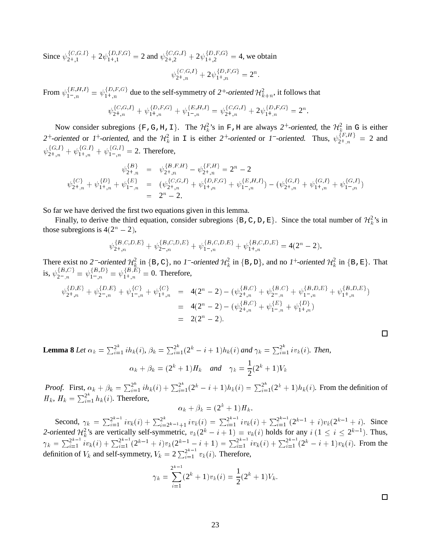Since  $\psi_{2+1}^{\{C_1, G_1\}} + 2\psi_{1+1}^{\{D_1, F_2, G_3\}} = 2$  and  $\psi_{2+1}^{\{C_2, G_1\}} + 2\psi_{1+1}^{\{D_1, F_2, G_3\}} = 4$ , we obtain  $\psi_{2^+,n}^{\{C,\mathbf{G},I\}} + 2\psi_{1^+,n}^{\{D,\Gamma,\mathbf{G}\}} = 2^n.$ 

From  $\psi_{1-,n}^{\{E,H,I\}} = \psi_{1+,n}^{\{D,F,G\}}$  due to the self-symmetry of  $2^+$ -oriented  $\mathcal{H}_{k+n}^2$ , it follows that

$$
\psi_{2^+,n}^{\{C,G,I\}} + \psi_{1^+,n}^{\{D,F,G\}} + \psi_{1^-,n}^{\{E,H,I\}} = \psi_{2^+,n}^{\{C,G,I\}} + 2\psi_{1^+,n}^{\{D,F,G\}} = 2^n
$$

Now consider subregions  $\{F, G, H, I\}$ . The  $\mathcal{H}^2_k$ 's in F, H are always  $2^+$ -oriented, the  $\mathcal{H}^2_k$  in G is either 2<sup>+</sup>-oriented or 1<sup>+</sup>-oriented, and the  $H_k^2$  in I is either 2<sup>+</sup>-oriented or 1<sup>-</sup>-oriented. Thus,  $\psi_{2^+,n}^{F,H} = 2$  and  $\psi_{2^+,n}^{\{G,I\}} + \psi_{1^+,n}^{\{G,I\}} + \psi_{1^-,n}^{\{G,I\}} = 2$ . Therefore,

$$
\psi_{2^+,n}^{\{B\}} = \psi_{2^+,n}^{\{B,F,H\}} - \psi_{2^+,n}^{\{F,H\}} = 2^n - 2
$$
\n
$$
\psi_{2^+,n}^{\{C\}} + \psi_{1^+,n}^{\{D\}} + \psi_{1^-,n}^{\{E\}} = (\psi_{2^+,n}^{\{C,G,I\}} + \psi_{1^+,n}^{\{D,F,G\}} + \psi_{1^-,n}^{\{E,H,I\}}) - (\psi_{2^+,n}^{\{G,I\}} + \psi_{1^+,n}^{\{G,I\}} + \psi_{1^-,n}^{\{G,I\}})
$$
\n
$$
= 2^n - 2.
$$

So far we have derived the first two equations given in this lemma.

Finally, to derive the third equation, consider subregions  $\{B, C, D, E\}$ . Since the total number of  $\mathcal{H}_k^2$ 's in those subregions is  $4(2^n - 2)$ ,

$$
\psi_{2+,n}^{\{B,C,D,E\}} + \psi_{2-,n}^{\{B,C,D,E\}} + \psi_{1-,n}^{\{B,C,D,E\}} + \psi_{1+,n}^{\{B,C,D,E\}} = 4(2^n - 2).
$$

There exist no 2<sup>-</sup>-oriented  $\mathcal{H}^2_k$  in {B,C}, no 1<sup>-</sup>-oriented  $\mathcal{H}^2_k$  in {B,D}, and no 1<sup>+</sup>-oriented  $\mathcal{H}^2_k$  in {B,E}. That is,  $\psi_{2^-,n}^{1^D,0^+} = \psi_{1^-,n}^{1^D,0^+} = \psi_{1^+,n}^{1^D,0^+} = 0$ . Therefore,

$$
\psi_{2+,n}^{\{D,E\}} + \psi_{2-,n}^{\{D,E\}} + \psi_{1-,n}^{\{C\}} + \psi_{1+,n}^{\{C\}} = 4(2^n - 2) - (\psi_{2+,n}^{\{B,C\}} + \psi_{2-,n}^{\{B,C\}} + \psi_{1-,n}^{\{B,D,E\}} + \psi_{1+,n}^{\{B,D,E\}})
$$
  
= 4(2<sup>n</sup> - 2) - (\psi\_{2+,n}^{\{B,C\}} + \psi\_{1-,n}^{\{E\}} + \psi\_{1+,n}^{\{D\}})  
= 2(2<sup>n</sup> - 2).

**Lemma 8** *Let*  $\alpha_k = \sum_{i=1}^{2^k} i h_k(i)$ ,  $\beta_k = \sum_{i=1}^{2^k} (2^k - i + 1) h_k(i)$  and  $\gamma_k = \sum_{i=1}^{2^k} i v_k(i)$ . Then,  $\alpha_k + \beta_k = (2^k + 1)H_k$  and  $\gamma_k = \frac{1}{2^k}$  $\frac{1}{2}(2^k+1)V_k$ 

*Proof.* First,  $\alpha_k + \beta_k = \sum_{i=1}^{2^k} i h_k(i) + \sum_{i=1}^{2^k} (2^k - i + 1) h_k(i) = \sum_{i=1}^{2^k} (2^k + 1) h_k(i)$ . From the definition of  $H_k$ ,  $H_k = \sum_{i=1}^{2^k} h_k(i)$ . Therefore,

$$
\alpha_k + \beta_k = (2^k + 1)H_k.
$$

Second,  $\gamma_k = \sum_{i=1}^{2^{k-1}}$  $\frac{2^{k-1}}{i=1}iv_k(i) + \sum_{i=2^{k-1}+1}^{2^k}iv_k(i) = \sum_{i=1}^{2^{k-1}}$  $\frac{2^{k-1}}{i=1}iv_k(i) + \sum_{i=1}^{2^{k-1}}$  $\frac{2^{k-1}}{i=1}(2^{k-1}+i)v_k(2^{k-1}+i)$ . Since 2-oriented  $\mathcal{H}_k^2$ 's are vertically self-symmetric,  $v_k(2^k - i + 1) = v_k(i)$  holds for any  $i (1 \le i \le 2^{k-1})$ . Thus,  $\gamma_k = \sum_{i=1}^{2^{k-1}}$  $\frac{2^{k-1}}{i=1}iv_k(i) + \sum_{i=1}^{2^{k-1}}$  $\frac{2^{k-1}}{i=1}(2^{k-1}+i)v_k(2^{k-1}-i+1)=\sum_{i=1}^{2^{k-1}}$  $\frac{2^{k-1}}{i=1}iv_k(i) + \sum_{i=1}^{2^{k-1}}$  $\frac{2^{k-1}}{i=1}(2^k-i+1)v_k(i)$ . From the definition of  $V_k$  and self-symmetry,  $V_k = 2 \sum_{i=1}^{2^{k-1}} v_k(i)$ . Therefore,

$$
\gamma_k = \sum_{i=1}^{2^{k-1}} (2^k + 1)v_k(i) = \frac{1}{2}(2^k + 1)V_k.
$$

 $\Box$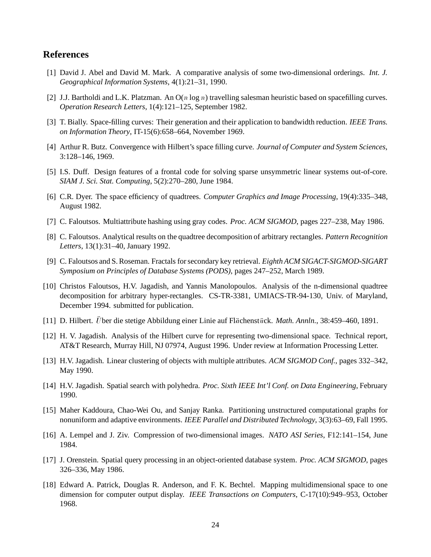### **References**

- [1] David J. Abel and David M. Mark. A comparative analysis of some two-dimensional orderings. *Int. J. Geographical Information Systems*, 4(1):21–31, 1990.
- [2] J.J. Bartholdi and L.K. Platzman. An  $O(n \log n)$  travelling salesman heuristic based on spacefilling curves. *Operation Research Letters*, 1(4):121–125, September 1982.
- [3] T. Bially. Space-filling curves: Their generation and their application to bandwidth reduction. *IEEE Trans. on Information Theory*, IT-15(6):658–664, November 1969.
- [4] Arthur R. Butz. Convergence with Hilbert's space filling curve. *Journal of Computer and System Sciences*, 3:128–146, 1969.
- [5] I.S. Duff. Design features of a frontal code for solving sparse unsymmetric linear systems out-of-core. *SIAM J. Sci. Stat. Computing*, 5(2):270–280, June 1984.
- [6] C.R. Dyer. The space efficiency of quadtrees. *Computer Graphics and Image Processing*, 19(4):335–348, August 1982.
- [7] C. Faloutsos. Multiattribute hashing using gray codes. *Proc. ACM SIGMOD*, pages 227–238, May 1986.
- [8] C. Faloutsos. Analytical results on the quadtree decomposition of arbitrary rectangles. *Pattern Recognition Letters*, 13(1):31–40, January 1992.
- [9] C. Faloutsos and S. Roseman. Fractals for secondary key retrieval. *Eighth ACM SIGACT-SIGMOD-SIGART Symposium on Principles of Database Systems (PODS)*, pages 247–252, March 1989.
- [10] Christos Faloutsos, H.V. Jagadish, and Yannis Manolopoulos. Analysis of the n-dimensional quadtree decomposition for arbitrary hyper-rectangles. CS-TR-3381, UMIACS-TR-94-130, Univ. of Maryland, December 1994. submitted for publication.
- [11] D. Hilbert. Über die stetige Abbildung einer Linie auf Flächenstück. *Math. Annln.*, 38:459–460, 1891.
- [12] H. V. Jagadish. Analysis of the Hilbert curve for representing two-dimensional space. Technical report, AT&T Research, Murray Hill, NJ 07974, August 1996. Under review at Information Processing Letter.
- [13] H.V. Jagadish. Linear clustering of objects with multiple attributes. *ACM SIGMOD Conf.*, pages 332–342, May 1990.
- [14] H.V. Jagadish. Spatial search with polyhedra. *Proc. Sixth IEEE Int'l Conf. on Data Engineering*, February 1990.
- [15] Maher Kaddoura, Chao-Wei Ou, and Sanjay Ranka. Partitioning unstructured computational graphs for nonuniform and adaptive environments. *IEEE Parallel and Distributed Technology*, 3(3):63–69, Fall 1995.
- [16] A. Lempel and J. Ziv. Compression of two-dimensional images. *NATO ASI Series*, F12:141–154, June 1984.
- [17] J. Orenstein. Spatial query processing in an object-oriented database system. *Proc. ACM SIGMOD*, pages 326–336, May 1986.
- [18] Edward A. Patrick, Douglas R. Anderson, and F. K. Bechtel. Mapping multidimensional space to one dimension for computer output display. *IEEE Transactions on Computers*, C-17(10):949–953, October 1968.